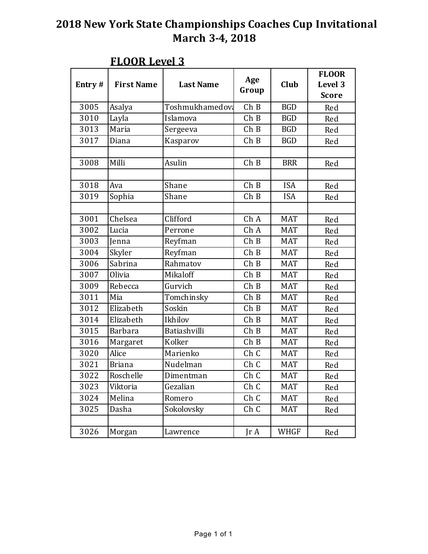| Entry# | <b>First Name</b> | <b>Last Name</b> | Age<br>Group | Club        | <b>FLOOR</b><br>Level 3<br><b>Score</b> |
|--------|-------------------|------------------|--------------|-------------|-----------------------------------------|
| 3005   | Asalya            | Toshmukhamedova  | ChB          | <b>BGD</b>  | Red                                     |
| 3010   | Layla             | Islamova         | ChB          | <b>BGD</b>  | Red                                     |
| 3013   | Maria             | Sergeeva         | ChB          | <b>BGD</b>  | Red                                     |
| 3017   | Diana             | Kasparov         | ChB          | <b>BGD</b>  | Red                                     |
|        |                   |                  |              |             |                                         |
| 3008   | Milli             | Asulin           | ChB          | <b>BRR</b>  | Red                                     |
|        |                   |                  |              |             |                                         |
| 3018   | Ava               | Shane            | ChB          | <b>ISA</b>  | Red                                     |
| 3019   | Sophia            | Shane            | ChB          | <b>ISA</b>  | Red                                     |
|        |                   |                  |              |             |                                         |
| 3001   | Chelsea           | Clifford         | Ch A         | <b>MAT</b>  | Red                                     |
| 3002   | Lucia             | Perrone          | Ch A         | <b>MAT</b>  | Red                                     |
| 3003   | Jenna             | Reyfman          | ChB          | <b>MAT</b>  | Red                                     |
| 3004   | Skyler            | Reyfman          | ChB          | <b>MAT</b>  | Red                                     |
| 3006   | Sabrina           | Rahmatov         | ChB          | <b>MAT</b>  | Red                                     |
| 3007   | Olivia            | Mikaloff         | ChB          | <b>MAT</b>  | Red                                     |
| 3009   | Rebecca           | Gurvich          | ChB          | <b>MAT</b>  | Red                                     |
| 3011   | Mia               | Tomchinsky       | ChB          | <b>MAT</b>  | Red                                     |
| 3012   | Elizabeth         | Soskin           | ChB          | <b>MAT</b>  | Red                                     |
| 3014   | Elizabeth         | Ikhilov          | ChB          | <b>MAT</b>  | Red                                     |
| 3015   | <b>Barbara</b>    | Batiashvilli     | ChB          | <b>MAT</b>  | Red                                     |
| 3016   | Margaret          | Kolker           | ChB          | <b>MAT</b>  | Red                                     |
| 3020   | Alice             | Marienko         | Ch C         | <b>MAT</b>  | Red                                     |
| 3021   | <b>Briana</b>     | Nudelman         | Ch C         | <b>MAT</b>  | Red                                     |
| 3022   | Roschelle         | Dimentman        | Ch C         | MAT         | Red                                     |
| 3023   | Viktoria          | Gezalian         | Ch C         | <b>MAT</b>  | Red                                     |
| 3024   | Melina            | Romero           | Ch C         | <b>MAT</b>  | Red                                     |
| 3025   | Dasha             | Sokolovsky       | Ch C         | <b>MAT</b>  | Red                                     |
|        |                   |                  |              |             |                                         |
| 3026   | Morgan            | Lawrence         | Jr A         | <b>WHGF</b> | Red                                     |

#### **FLOOR** Level 3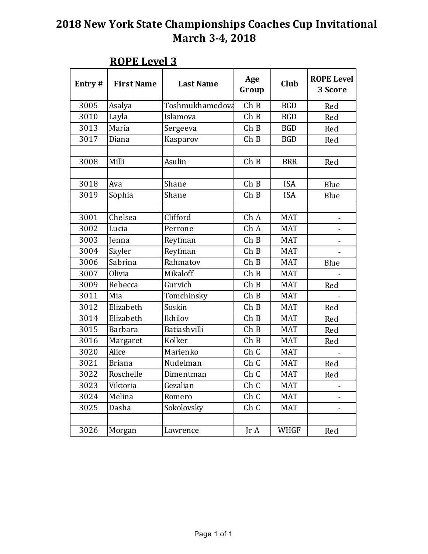| Entry# | <b>First Name</b> | <b>Last Name</b> | Age<br>Group    | Club        | <b>ROPE Level</b><br>3 Score |
|--------|-------------------|------------------|-----------------|-------------|------------------------------|
| 3005   | Asalya            | Toshmukhamedova  | ChB             | <b>BGD</b>  | Red                          |
| 3010   | Layla             | Islamova         | ChB             | <b>BGD</b>  | Red                          |
| 3013   | Maria             | Sergeeva         | ChB             | <b>BGD</b>  | Red                          |
| 3017   | Diana             | Kasparov         | ChB             | <b>BGD</b>  | Red                          |
|        |                   |                  |                 |             |                              |
| 3008   | Milli             | Asulin           | ChB             | <b>BRR</b>  | Red                          |
|        |                   |                  |                 |             |                              |
| 3018   | Ava               | Shane            | ChB             | <b>ISA</b>  | Blue                         |
| 3019   | Sophia            | Shane            | ChB             | <b>ISA</b>  | Blue                         |
|        |                   |                  |                 |             |                              |
| 3001   | Chelsea           | Clifford         | Ch A            | <b>MAT</b>  |                              |
| 3002   | Lucia             | Perrone          | Ch A            | <b>MAT</b>  |                              |
| 3003   | Jenna             | Reyfman          | ChB             | <b>MAT</b>  |                              |
| 3004   | Skyler            | Reyfman          | ChB             | <b>MAT</b>  |                              |
| 3006   | Sabrina           | Rahmatov         | ChB             | <b>MAT</b>  | Blue                         |
| 3007   | Olivia            | Mikaloff         | ChB             | <b>MAT</b>  |                              |
| 3009   | Rebecca           | Gurvich          | ChB             | <b>MAT</b>  | Red                          |
| 3011   | Mia               | Tomchinsky       | ChB             | <b>MAT</b>  |                              |
| 3012   | Elizabeth         | Soskin           | ChB             | <b>MAT</b>  | Red                          |
| 3014   | Elizabeth         | Ikhilov          | ChB             | <b>MAT</b>  | Red                          |
| 3015   | <b>Barbara</b>    | Batiashvilli     | ChB             | <b>MAT</b>  | Red                          |
| 3016   | Margaret          | Kolker           | ChB             | <b>MAT</b>  | Red                          |
| 3020   | Alice             | Marienko         | Ch <sub>C</sub> | <b>MAT</b>  |                              |
| 3021   | <b>Briana</b>     | Nudelman         | Ch <sub>C</sub> | <b>MAT</b>  | Red                          |
| 3022   | Roschelle         | Dimentman        | Ch C            | <b>MAT</b>  | Red                          |
| 3023   | Viktoria          | Gezalian         | Ch C            | <b>MAT</b>  |                              |
| 3024   | Melina            | Romero           | Ch C            | <b>MAT</b>  | -                            |
| 3025   | Dasha             | Sokolovsky       | Ch C            | <b>MAT</b>  | $\overline{\phantom{0}}$     |
|        |                   |                  |                 |             |                              |
| 3026   | Morgan            | Lawrence         | JrA             | <b>WHGF</b> | Red                          |

#### **ROPE** Level 3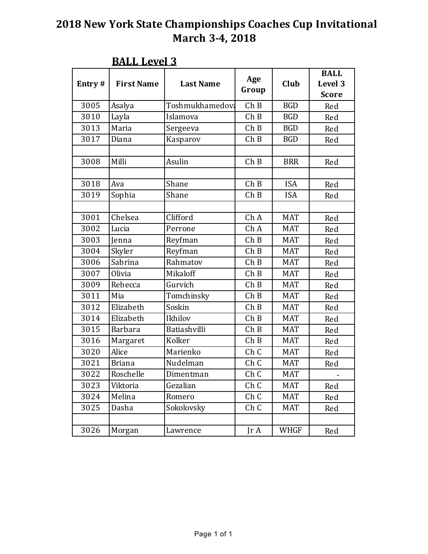| Entry# | <b>First Name</b> | <b>Last Name</b> | Age<br>Group | Club        | <b>BALL</b><br>Level 3<br><b>Score</b> |
|--------|-------------------|------------------|--------------|-------------|----------------------------------------|
| 3005   | Asalya            | Toshmukhamedova  | ChB          | <b>BGD</b>  | Red                                    |
| 3010   | Layla             | Islamova         | ChB          | <b>BGD</b>  | Red                                    |
| 3013   | Maria             | Sergeeva         | ChB          | <b>BGD</b>  | Red                                    |
| 3017   | Diana             | Kasparov         | ChB          | <b>BGD</b>  | Red                                    |
|        |                   |                  |              |             |                                        |
| 3008   | Milli             | Asulin           | ChB          | <b>BRR</b>  | Red                                    |
|        |                   |                  |              |             |                                        |
| 3018   | Ava               | Shane            | ChB          | <b>ISA</b>  | Red                                    |
| 3019   | Sophia            | Shane            | ChB          | <b>ISA</b>  | Red                                    |
|        |                   |                  |              |             |                                        |
| 3001   | Chelsea           | Clifford         | Ch A         | <b>MAT</b>  | Red                                    |
| 3002   | Lucia             | Perrone          | Ch A         | <b>MAT</b>  | Red                                    |
| 3003   | Jenna             | Reyfman          | ChB          | <b>MAT</b>  | Red                                    |
| 3004   | Skyler            | Reyfman          | ChB          | <b>MAT</b>  | Red                                    |
| 3006   | Sabrina           | Rahmatov         | ChB          | <b>MAT</b>  | Red                                    |
| 3007   | Olivia            | Mikaloff         | ChB          | <b>MAT</b>  | Red                                    |
| 3009   | Rebecca           | Gurvich          | ChB          | <b>MAT</b>  | Red                                    |
| 3011   | Mia               | Tomchinsky       | ChB          | <b>MAT</b>  | Red                                    |
| 3012   | Elizabeth         | Soskin           | ChB          | <b>MAT</b>  | Red                                    |
| 3014   | Elizabeth         | Ikhilov          | ChB          | <b>MAT</b>  | Red                                    |
| 3015   | <b>Barbara</b>    | Batiashvilli     | ChB          | <b>MAT</b>  | Red                                    |
| 3016   | Margaret          | Kolker           | ChB          | <b>MAT</b>  | Red                                    |
| 3020   | Alice             | Marienko         | Ch C         | <b>MAT</b>  | Red                                    |
| 3021   | <b>Briana</b>     | Nudelman         | Ch C         | <b>MAT</b>  | Red                                    |
| 3022   | Roschelle         | Dimentman        | Ch C         | <b>MAT</b>  |                                        |
| 3023   | Viktoria          | Gezalian         | Ch C         | <b>MAT</b>  | Red                                    |
| 3024   | Melina            | Romero           | Ch C         | <b>MAT</b>  | Red                                    |
| 3025   | Dasha             | Sokolovsky       | Ch C         | <b>MAT</b>  | Red                                    |
|        |                   |                  |              |             |                                        |
| 3026   | Morgan            | Lawrence         | JrA          | <b>WHGF</b> | Red                                    |

#### **BALL Level 3**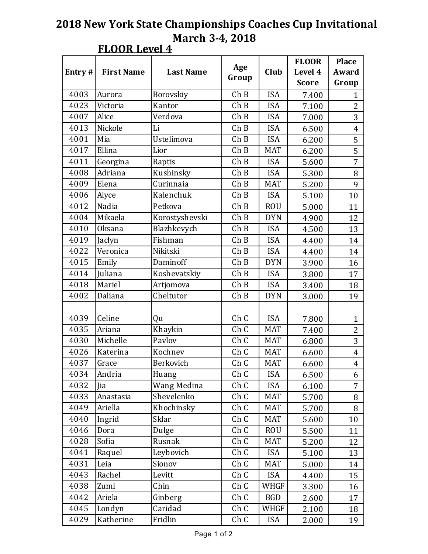| OR 1<br>ρı<br>⊷ |  |
|-----------------|--|
|-----------------|--|

|        |                   |                  |                            |                 | <b>FLOOR</b> | <b>Place</b>   |
|--------|-------------------|------------------|----------------------------|-----------------|--------------|----------------|
| Entry# | <b>First Name</b> | <b>Last Name</b> | Age                        | Level 4<br>Club |              | Award          |
|        |                   |                  | Group                      |                 | <b>Score</b> | Group          |
| 4003   | Aurora            | Borovskiy        | ChB                        | <b>ISA</b>      | 7.400        | $\mathbf{1}$   |
| 4023   | Victoria          | Kantor           | ChB                        | <b>ISA</b>      | 7.100        | $\overline{2}$ |
| 4007   | Alice             | Verdova          | ChB                        | <b>ISA</b>      | 7.000        | 3              |
| 4013   | Nickole           | Li               | ChB                        | <b>ISA</b>      | 6.500        | $\overline{4}$ |
| 4001   | Mia               | Ustelimova       | ChB                        | <b>ISA</b>      | 6.200        | 5              |
| 4017   | Ellina            | Lior             | ChB                        | <b>MAT</b>      | 6.200        | 5              |
| 4011   | Georgina          | Raptis           | ChB                        | <b>ISA</b>      | 5.600        | $\overline{7}$ |
| 4008   | Adriana           | Kushinsky        | ChB                        | <b>ISA</b>      | 5.300        | 8              |
| 4009   | Elena             | Curinnaia        | ChB                        | <b>MAT</b>      | 5.200        | 9              |
| 4006   | Alyce             | Kalenchuk        | ChB                        | <b>ISA</b>      | 5.100        | 10             |
| 4012   | Nadia             | Petkova          | ChB                        | <b>ROU</b>      | 5.000        | 11             |
| 4004   | Mikaela           | Korostyshevski   | ChB                        | <b>DYN</b>      | 4.900        | 12             |
| 4010   | <b>Oksana</b>     | Blazhkevych      | ChB                        | <b>ISA</b>      | 4.500        | 13             |
| 4019   | Jaclyn            | Fishman          | ChB                        | <b>ISA</b>      | 4.400        | 14             |
| 4022   | Veronica          | Nikitski         | ChB                        | <b>ISA</b>      | 4.400        | 14             |
| 4015   | Emily             | Daminoff         | ChB                        | <b>DYN</b>      | 3.900        | 16             |
| 4014   | Juliana           | Koshevatskiy     | ChB                        | <b>ISA</b>      | 3.800        | 17             |
| 4018   | Mariel            | Artjomova        | ChB                        | <b>ISA</b>      | 3.400        | 18             |
| 4002   | Daliana           | Cheltutor        | ChB<br><b>DYN</b><br>3.000 |                 |              | 19             |
|        |                   |                  |                            |                 |              |                |
| 4039   | Celine            | Qu               | Ch C                       | <b>ISA</b>      | 7.800        | $\mathbf{1}$   |
| 4035   | Ariana            | Khaykin          | Ch C                       | <b>MAT</b>      | 7.400        | $\overline{2}$ |
| 4030   | Michelle          | Pavlov           | Ch C                       | <b>MAT</b>      | 6.800        | 3              |
| 4026   | Katerina          | Kochnev          | Ch C                       | <b>MAT</b>      | 6.600        | $\overline{4}$ |
| 4037   | Grace             | Berkovich        | Ch C                       | <b>MAT</b>      | 6.600        | $\overline{4}$ |
| 4034   | Andria            | Huang            | Ch C                       | <b>ISA</b>      | 6.500        | 6              |
| 4032   | Jia               | Wang Medina      | Ch C                       | <b>ISA</b>      | 6.100        | $\overline{7}$ |
| 4033   | Anastasia         | Shevelenko       | Ch C                       | MAT             | 5.700        | 8              |
| 4049   | Ariella           | Khochinsky       | Ch C                       | <b>MAT</b>      | 5.700        | 8              |
| 4040   | Ingrid            | Sklar            | Ch C                       | <b>MAT</b>      | 5.600        | 10             |
| 4046   | Dora              | Dulge            | Ch C                       | <b>ROU</b>      | 5.500        | 11             |
| 4028   | Sofia             | Rusnak           | Ch C                       | <b>MAT</b>      | 5.200        | 12             |
| 4041   | Raquel            | Leybovich        | Ch C                       | <b>ISA</b>      | 5.100        | 13             |
| 4031   | Leia              | Sionov           | Ch C                       | MAT             | 5.000        | 14             |
| 4043   | Rachel            | Levitt           | Ch C                       | <b>ISA</b>      | 4.400        | 15             |
| 4038   | Zumi              | Chin             | Ch C                       | WHGF            | 3.300        | 16             |
| 4042   | Ariela            | Ginberg          | Ch C                       | <b>BGD</b>      | 2.600        | 17             |
| 4045   | Londyn            | Caridad          | Ch C                       | WHGF            | 2.100        | 18             |
| 4029   | Katherine         | Fridlin          | Ch C                       | <b>ISA</b>      | 2.000        | 19             |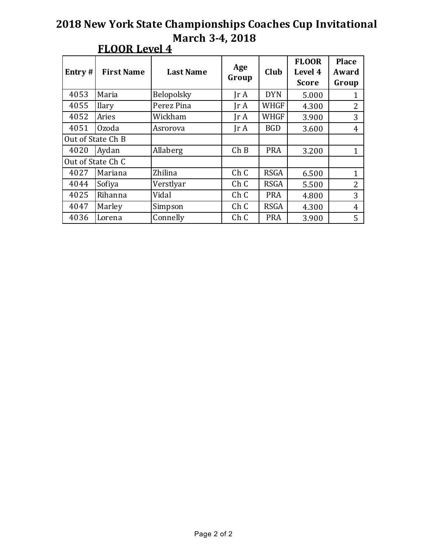| Entry# | <b>First Name</b> | <b>Last Name</b> | Age<br>Group                 | Club        | <b>FLOOR</b><br>Level 4<br><b>Score</b> | <b>Place</b><br>Award<br>Group |
|--------|-------------------|------------------|------------------------------|-------------|-----------------------------------------|--------------------------------|
| 4053   | Maria             | Belopolsky       | $\text{Tr } \mathbf{A}$      | <b>DYN</b>  | 5.000                                   |                                |
| 4055   | <b>Ilary</b>      | Perez Pina       | $\mathop{\rm Ir}\nolimits$ A | <b>WHGF</b> | 4.300                                   | $\overline{2}$                 |
| 4052   | Aries             | Wickham          | $\text{Ir } A$               | <b>WHGF</b> | 3.900                                   | 3                              |
| 4051   | Ozoda             | Asrorova         | $\text{Tr } \mathbf{A}$      | <b>BGD</b>  | 3.600                                   | 4                              |
|        | Out of State Ch B |                  |                              |             |                                         |                                |
| 4020   | Aydan             | Allaberg         | ChB                          | <b>PRA</b>  | 3.200                                   | 1                              |
|        | Out of State Ch C |                  |                              |             |                                         |                                |
| 4027   | Mariana           | Zhilina          | Ch C                         | <b>RSGA</b> | 6.500                                   | 1                              |
| 4044   | Sofiya            | Verstlyar        | Ch <sub>C</sub>              | <b>RSGA</b> | 5.500                                   | 2                              |
| 4025   | Rihanna           | Vidal            | Ch C                         | <b>PRA</b>  | 4.800                                   | 3                              |
| 4047   | Marley            | Simpson          | Ch C                         | <b>RSGA</b> | 4.300                                   | 4                              |
| 4036   | Lorena            | Connelly         | Ch C                         | <b>PRA</b>  | 3.900                                   | 5                              |

## **FLOOR Level 4**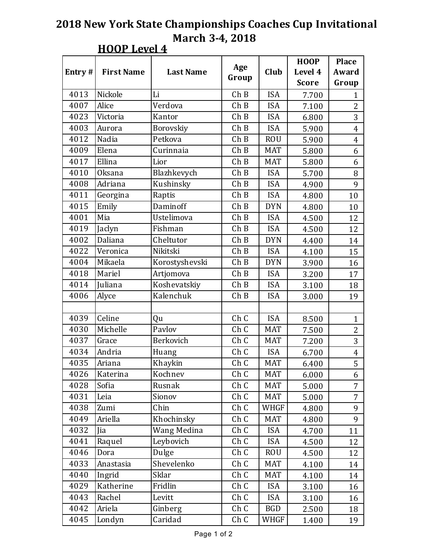| $\overline{\phantom{a}}$<br>р,<br>ъ. |  |
|--------------------------------------|--|
|--------------------------------------|--|

|        |                   |                  |                   |              | <b>HOOP</b> | <b>Place</b>   |
|--------|-------------------|------------------|-------------------|--------------|-------------|----------------|
| Entry# | <b>First Name</b> | <b>Last Name</b> | Age               | Club         | Level 4     | Award          |
|        |                   |                  | Group             | <b>Score</b> |             | Group          |
| 4013   | Nickole           | Li               | ChB               | <b>ISA</b>   | 7.700       | 1              |
| 4007   | Alice             | Verdova          | ChB               | <b>ISA</b>   | 7.100       | $\overline{2}$ |
| 4023   | Victoria          | Kantor           | ChB               | <b>ISA</b>   | 6.800       | 3              |
| 4003   | Aurora            | Borovskiy        | ChB               | <b>ISA</b>   | 5.900       | $\overline{4}$ |
| 4012   | Nadia             | Petkova          | $\overline{ch}$ B | <b>ROU</b>   | 5.900       | $\overline{4}$ |
| 4009   | Elena             | Curinnaia        | ChB               | <b>MAT</b>   | 5.800       | 6              |
| 4017   | Ellina            | Lior             | ChB               | <b>MAT</b>   | 5.800       | 6              |
| 4010   | <b>Oksana</b>     | Blazhkevych      | ChB               | <b>ISA</b>   | 5.700       | 8              |
| 4008   | Adriana           | Kushinsky        | ChB               | <b>ISA</b>   | 4.900       | 9              |
| 4011   | Georgina          | Raptis           | ChB               | <b>ISA</b>   | 4.800       | 10             |
| 4015   | Emily             | Daminoff         | ChB               | <b>DYN</b>   | 4.800       | 10             |
| 4001   | Mia               | Ustelimova       | ChB               | <b>ISA</b>   | 4.500       | 12             |
| 4019   | Jaclyn            | Fishman          | ChB               | <b>ISA</b>   | 4.500       | 12             |
| 4002   | Daliana           | Cheltutor        | ChB               | <b>DYN</b>   | 4.400       | 14             |
| 4022   | Veronica          | Nikitski         | ChB               | <b>ISA</b>   | 4.100       | 15             |
| 4004   | Mikaela           | Korostyshevski   | ChB               | <b>DYN</b>   | 3.900       | 16             |
| 4018   | Mariel            | Artjomova        | ChB               | <b>ISA</b>   | 3.200       | 17             |
| 4014   | Juliana           | Koshevatskiy     | ChB               | <b>ISA</b>   | 3.100       | 18             |
| 4006   | Alyce             | Kalenchuk        | ChB               | <b>ISA</b>   | 3.000       | 19             |
|        |                   |                  |                   |              |             |                |
| 4039   | Celine            | Qu               | Ch C              | <b>ISA</b>   | 8.500       | $\mathbf{1}$   |
| 4030   | Michelle          | Pavlov           | Ch C              | <b>MAT</b>   | 7.500       | $\overline{2}$ |
| 4037   | Grace             | Berkovich        | Ch C              | <b>MAT</b>   | 7.200       | 3              |
| 4034   | Andria            | Huang            | Ch C              | <b>ISA</b>   | 6.700       | $\overline{4}$ |
| 4035   | Ariana            | Khaykin          | Ch C              | <b>MAT</b>   | 6.400       | 5              |
| 4026   | Katerina          | Kochnev          | Ch C              | MAT          | 6.000       | 6              |
| 4028   | Sofia             | Rusnak           | Ch C              | MAT          | 5.000       | $\overline{7}$ |
| 4031   | Leia              | Sionov           | Ch C              | MAT          | 5.000       | $\overline{7}$ |
| 4038   | Zumi              | Chin             | Ch C              | <b>WHGF</b>  | 4.800       | 9              |
| 4049   | Ariella           | Khochinsky       | Ch C              | <b>MAT</b>   | 4.800       | 9              |
| 4032   | Jia               | Wang Medina      | Ch C              | <b>ISA</b>   | 4.700       | 11             |
| 4041   | Raquel            | Leybovich        | Ch C              | <b>ISA</b>   | 4.500       | 12             |
| 4046   | Dora              | Dulge            | Ch C              | <b>ROU</b>   | 4.500       | 12             |
| 4033   | Anastasia         | Shevelenko       | Ch C              | <b>MAT</b>   | 4.100       | 14             |
| 4040   | Ingrid            | Sklar            | Ch C              | <b>MAT</b>   | 4.100       | 14             |
| 4029   | Katherine         | Fridlin          | Ch C              | <b>ISA</b>   | 3.100       | 16             |
| 4043   | Rachel            | Levitt           | Ch C              | <b>ISA</b>   | 3.100       | 16             |
| 4042   | Ariela            | Ginberg          | Ch C              | <b>BGD</b>   | 2.500       | 18             |
| 4045   | Londyn            | Caridad          | Ch C              | WHGF         | 1.400       | 19             |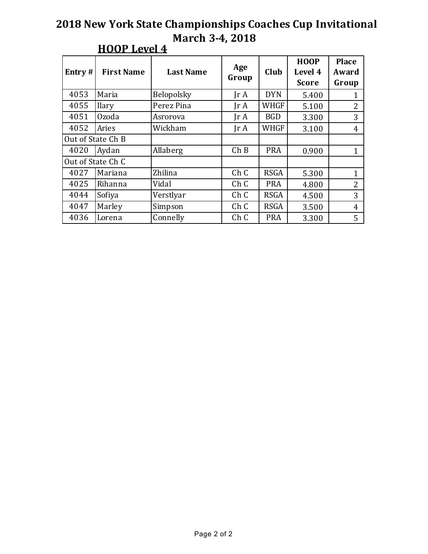| Entry# | <b>First Name</b> | <b>Last Name</b> | Age<br>Group                 | Club        | <b>HOOP</b><br>Level 4<br><b>Score</b> | <b>Place</b><br>Award<br>Group |
|--------|-------------------|------------------|------------------------------|-------------|----------------------------------------|--------------------------------|
| 4053   | Maria             | Belopolsky       | $\text{Tr } \mathbf{A}$      | <b>DYN</b>  | 5.400                                  | 1                              |
| 4055   | Ilary             | Perez Pina       | $\mathop{\rm Ir}\nolimits$ A | WHGF        | 5.100                                  | $\overline{2}$                 |
| 4051   | Ozoda             | Asrorova         | $\text{Tr } \mathbf{A}$      | <b>BGD</b>  | 3.300                                  | 3                              |
| 4052   | Aries             | Wickham          | $\text{Tr } \mathbf{A}$      | <b>WHGF</b> | 3.100                                  | $\overline{4}$                 |
|        | Out of State Ch B |                  |                              |             |                                        |                                |
| 4020   | Aydan             | Allaberg         | ChB                          | <b>PRA</b>  | 0.900                                  | 1                              |
|        | Out of State Ch C |                  |                              |             |                                        |                                |
| 4027   | Mariana           | Zhilina          | Ch C                         | <b>RSGA</b> | 5.300                                  | $\mathbf{1}$                   |
| 4025   | Rihanna           | Vidal            | Ch <sub>C</sub>              | <b>PRA</b>  | 4.800                                  | $\overline{2}$                 |
| 4044   | Sofiya            | Verstlyar        | Ch C                         | <b>RSGA</b> | 4.500                                  | 3                              |
| 4047   | Marley            | Simpson          | Ch <sub>C</sub>              | <b>RSGA</b> | 3.500                                  | 4                              |
| 4036   | Lorena            | Connelly         | Ch C                         | <b>PRA</b>  | 3.300                                  | 5                              |

## **HOOP** Level 4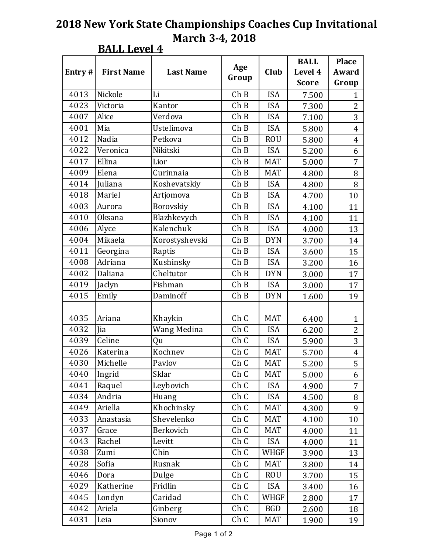**BALL Level 4** 

|           |                   |                  |              |             | <b>BALL</b>  | <b>Place</b>   |
|-----------|-------------------|------------------|--------------|-------------|--------------|----------------|
| Entry $#$ | <b>First Name</b> | <b>Last Name</b> | Age<br>Group | Club        | Level 4      | Award          |
|           |                   |                  |              |             | <b>Score</b> | Group          |
| 4013      | Nickole           | Li               | ChB          | <b>ISA</b>  | 7.500        | $\mathbf{1}$   |
| 4023      | Victoria          | Kantor           | ChB          | <b>ISA</b>  | 7.300        | $\overline{2}$ |
| 4007      | Alice             | Verdova          | ChB          | <b>ISA</b>  | 7.100        | 3              |
| 4001      | Mia               | Ustelimova       | ChB          | <b>ISA</b>  | 5.800        | $\overline{4}$ |
| 4012      | Nadia             | Petkova          | ChB          | <b>ROU</b>  | 5.800        | 4              |
| 4022      | Veronica          | Nikitski         | ChB          | <b>ISA</b>  | 5.200        | 6              |
| 4017      | Ellina            | Lior             | ChB          | <b>MAT</b>  | 5.000        | 7              |
| 4009      | Elena             | Curinnaia        | ChB          | <b>MAT</b>  | 4.800        | 8              |
| 4014      | Juliana           | Koshevatskiy     | ChB          | <b>ISA</b>  | 4.800        | 8              |
| 4018      | Mariel            | Artjomova        | ChB          | <b>ISA</b>  | 4.700        | 10             |
| 4003      | Aurora            | Borovskiy        | ChB          | <b>ISA</b>  | 4.100        | 11             |
| 4010      | <b>Oksana</b>     | Blazhkevych      | ChB          | <b>ISA</b>  | 4.100        | 11             |
| 4006      | Alyce             | Kalenchuk        | ChB          | <b>ISA</b>  | 4.000        | 13             |
| 4004      | Mikaela           | Korostyshevski   | ChB          | <b>DYN</b>  | 3.700        | 14             |
| 4011      | Georgina          | Raptis           | ChB          | <b>ISA</b>  | 3.600        | 15             |
| 4008      | Adriana           | Kushinsky        | ChB          | <b>ISA</b>  | 3.200        | 16             |
| 4002      | Daliana           | Cheltutor        | ChB          | <b>DYN</b>  | 3.000        | 17             |
| 4019      | Jaclyn            | Fishman          | ChB          | <b>ISA</b>  | 3.000        | 17             |
| 4015      | Emily             | Daminoff         | ChB          | <b>DYN</b>  | 1.600        | 19             |
|           |                   |                  |              |             |              |                |
| 4035      | Ariana            | Khaykin          | Ch C         | <b>MAT</b>  | 6.400        | $\mathbf{1}$   |
| 4032      | Jia               | Wang Medina      | Ch C         | <b>ISA</b>  | 6.200        | $\overline{2}$ |
| 4039      | Celine            | Qu               | Ch C         | <b>ISA</b>  | 5.900        | 3              |
| 4026      | Katerina          | Kochnev          | Ch C         | <b>MAT</b>  | 5.700        | $\overline{4}$ |
| 4030      | Michelle          | Pavlov           | Ch C         | <b>MAT</b>  | 5.200        | 5              |
| 4040      | Ingrid            | Sklar            | Ch C         | <b>MAT</b>  | 5.000        | 6              |
| 4041      | Raquel            | Leybovich        | Ch C         | <b>ISA</b>  | 4.900        | $\overline{7}$ |
| 4034      | Andria            | Huang            | Ch C         | <b>ISA</b>  | 4.500        | 8              |
| 4049      | Ariella           | Khochinsky       | Ch C         | MAT         | 4.300        | 9              |
| 4033      | Anastasia         | Shevelenko       | Ch C         | MAT         | 4.100        | 10             |
| 4037      | Grace             | Berkovich        | Ch C         | <b>MAT</b>  | 4.000        | 11             |
| 4043      | Rachel            | Levitt           | Ch C         | <b>ISA</b>  | 4.000        | 11             |
| 4038      | Zumi              | Chin             | Ch C         | WHGF        | 3.900        | 13             |
| 4028      | Sofia             | Rusnak           | Ch C         | <b>MAT</b>  | 3.800        | 14             |
| 4046      | Dora              | Dulge            | Ch C         | <b>ROU</b>  | 3.700        | 15             |
| 4029      | Katherine         | Fridlin          | Ch C         | <b>ISA</b>  | 3.400        | 16             |
| 4045      | Londyn            | Caridad          | Ch C         | <b>WHGF</b> | 2.800        | 17             |
| 4042      | Ariela            | Ginberg          | Ch C         | <b>BGD</b>  | 2.600        | 18             |
| 4031      | Leia              | Sionov           | Ch C         | MAT         | 1.900        | 19             |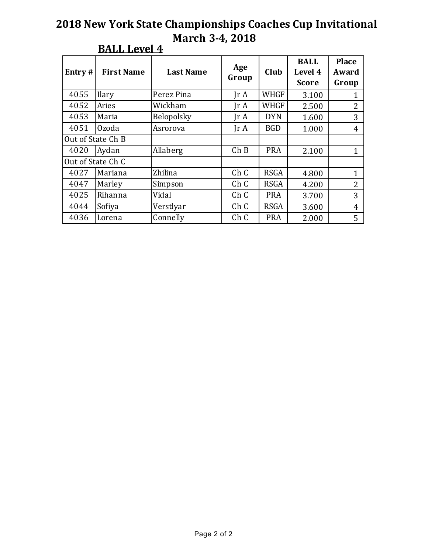| Entry# | <b>First Name</b> | <b>Last Name</b> | Age<br>Group                 | Club        | <b>BALL</b><br>Level 4<br><b>Score</b> | <b>Place</b><br>Award<br>Group |
|--------|-------------------|------------------|------------------------------|-------------|----------------------------------------|--------------------------------|
| 4055   | <b>Ilary</b>      | Perez Pina       | $\text{Tr } \mathbf{A}$      | <b>WHGF</b> | 3.100                                  |                                |
| 4052   | Aries             | Wickham          | Ir A                         | <b>WHGF</b> | 2.500                                  | $\overline{2}$                 |
| 4053   | Maria             | Belopolsky       | $\text{Tr } \mathbf{A}$      | <b>DYN</b>  | 1.600                                  | 3                              |
| 4051   | Ozoda             | Asrorova         | $\mathop{\rm Ir}\nolimits$ A | <b>BGD</b>  | 1.000                                  | 4                              |
|        | Out of State Ch B |                  |                              |             |                                        |                                |
| 4020   | Aydan             | Allaberg         | Ch B                         | <b>PRA</b>  | 2.100                                  | 1                              |
|        | Out of State Ch C |                  |                              |             |                                        |                                |
| 4027   | Mariana           | Zhilina          | Ch C                         | <b>RSGA</b> | 4.800                                  | 1                              |
| 4047   | Marley            | Simpson          | Ch <sub>C</sub>              | <b>RSGA</b> | 4.200                                  | 2                              |
| 4025   | Rihanna           | Vidal            | Ch C                         | <b>PRA</b>  | 3.700                                  | 3                              |
| 4044   | Sofiya            | Verstlyar        | Ch C                         | <b>RSGA</b> | 3.600                                  | 4                              |
| 4036   | Lorena            | Connelly         | Ch C                         | <b>PRA</b>  | 2.000                                  | 5                              |

## **BALL Level 4**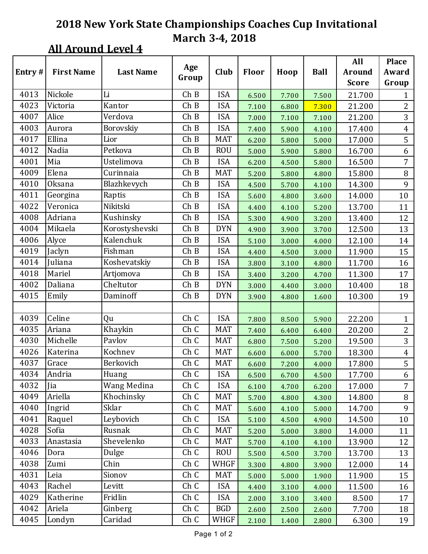# **All Around Level 4**

|        |                   |                  | Age   |            |              |       |             | All           | <b>Place</b>   |
|--------|-------------------|------------------|-------|------------|--------------|-------|-------------|---------------|----------------|
| Entry# | <b>First Name</b> | <b>Last Name</b> | Group | Club       | <b>Floor</b> | Hoop  | <b>Ball</b> | <b>Around</b> | Award          |
|        |                   |                  |       |            |              |       |             | <b>Score</b>  | Group          |
| 4013   | Nickole           | Li               | ChB   | <b>ISA</b> | 6.500        | 7.700 | 7.500       | 21.700        | $\mathbf{1}$   |
| 4023   | Victoria          | Kantor           | ChB   | <b>ISA</b> | 7.100        | 6.800 | 7.300       | 21.200        | $\overline{2}$ |
| 4007   | Alice             | Verdova          | ChB   | <b>ISA</b> | 7.000        | 7.100 | 7.100       | 21.200        | 3              |
| 4003   | Aurora            | Borovskiy        | ChB   | <b>ISA</b> | 7.400        | 5.900 | 4.100       | 17.400        | $\overline{4}$ |
| 4017   | Ellina            | Lior             | ChB   | <b>MAT</b> | 6.200        | 5.800 | 5.000       | 17.000        | 5              |
| 4012   | Nadia             | Petkova          | ChB   | <b>ROU</b> | 5.000        | 5.900 | 5.800       | 16.700        | 6              |
| 4001   | Mia               | Ustelimova       | ChB   | <b>ISA</b> | 6.200        | 4.500 | 5.800       | 16.500        | 7              |
| 4009   | Elena             | Curinnaia        | ChB   | <b>MAT</b> | 5.200        | 5.800 | 4.800       | 15.800        | $\, 8$         |
| 4010   | Oksana            | Blazhkevych      | ChB   | <b>ISA</b> | 4.500        | 5.700 | 4.100       | 14.300        | 9              |
| 4011   | Georgina          | Raptis           | ChB   | <b>ISA</b> | 5.600        | 4.800 | 3.600       | 14.000        | 10             |
| 4022   | Veronica          | Nikitski         | ChB   | <b>ISA</b> | 4.400        | 4.100 | 5.200       | 13.700        | 11             |
| 4008   | Adriana           | Kushinsky        | ChB   | <b>ISA</b> | 5.300        | 4.900 | 3.200       | 13.400        | 12             |
| 4004   | Mikaela           | Korostyshevski   | ChB   | <b>DYN</b> | 4.900        | 3.900 | 3.700       | 12.500        | 13             |
| 4006   | Alyce             | Kalenchuk        | ChB   | <b>ISA</b> | 5.100        | 3.000 | 4.000       | 12.100        | 14             |
| 4019   | Jaclyn            | Fishman          | ChB   | <b>ISA</b> | 4.400        | 4.500 | 3.000       | 11.900        | 15             |
| 4014   | Juliana           | Koshevatskiy     | ChB   | <b>ISA</b> | 3.800        | 3.100 | 4.800       | 11.700        | 16             |
| 4018   | Mariel            | Artjomova        | ChB   | <b>ISA</b> | 3.400        | 3.200 | 4.700       | 11.300        | 17             |
| 4002   | Daliana           | Cheltutor        | Ch B  | <b>DYN</b> | 3.000        | 4.400 | 3.000       | 10.400        | 18             |
| 4015   | Emily             | Daminoff         | ChB   | <b>DYN</b> | 3.900        | 4.800 | 1.600       | 10.300        | 19             |
|        |                   |                  |       |            |              |       |             |               |                |
| 4039   | Celine            | Qu               | Ch C  | <b>ISA</b> | 7.800        | 8.500 | 5.900       | 22.200        | $\mathbf{1}$   |
| 4035   | Ariana            | Khaykin          | Ch C  | <b>MAT</b> | 7.400        | 6.400 | 6.400       | 20.200        | $\overline{2}$ |
| 4030   | Michelle          | Pavlov           | Ch C  | <b>MAT</b> | 6.800        | 7.500 | 5.200       | 19.500        | $\overline{3}$ |
| 4026   | Katerina          | Kochnev          | Ch C  | <b>MAT</b> | 6.600        | 6.000 | 5.700       | 18.300        | $\overline{4}$ |
| 4037   | Grace             | Berkovich        | Ch C  | <b>MAT</b> | 6.600        | 7.200 | 4.000       | 17.800        | 5              |
| 4034   | Andria            | Huang            | Ch C  | <b>ISA</b> | 6.500        | 6.700 | 4.500       | 17.700        | 6              |
| 4032   | Jia               | Wang Medina      | Ch C  | <b>ISA</b> | 6.100        | 4.700 | 6.200       | 17.000        | $\overline{7}$ |
| 4049   | Ariella           | Khochinsky       | Ch C  | <b>MAT</b> | 5.700        | 4.800 | 4.300       | 14.800        | 8              |
| 4040   | Ingrid            | Sklar            | Ch C  | <b>MAT</b> | 5.600        | 4.100 | 5.000       | 14.700        | 9              |
| 4041   | Raquel            | Leybovich        | Ch C  | <b>ISA</b> | 5.100        | 4.500 | 4.900       | 14.500        | 10             |
| 4028   | Sofia             | Rusnak           | Ch C  | <b>MAT</b> | 5.200        | 5.000 | 3.800       | 14.000        | 11             |
| 4033   | Anastasia         | Shevelenko       | Ch C  | <b>MAT</b> | 5.700        | 4.100 | 4.100       | 13.900        | 12             |
| 4046   | Dora              | Dulge            | Ch C  | <b>ROU</b> | 5.500        | 4.500 | 3.700       | 13.700        | 13             |
| 4038   | Zumi              | Chin             | Ch C  | WHGF       | 3.300        | 4.800 | 3.900       | 12.000        | 14             |
| 4031   | Leia              | Sionov           | Ch C  | <b>MAT</b> | 5.000        | 5.000 | 1.900       | 11.900        | 15             |
| 4043   | Rachel            | Levitt           | Ch C  | <b>ISA</b> | 4.400        | 3.100 | 4.000       | 11.500        | 16             |
| 4029   | Katherine         | Fridlin          | Ch C  | <b>ISA</b> | 2.000        | 3.100 | 3.400       | 8.500         | 17             |
| 4042   | Ariela            | Ginberg          | Ch C  | <b>BGD</b> | 2.600        | 2.500 | 2.600       | 7.700         | 18             |
| 4045   | Londyn            | Caridad          | Ch C  | WHGF       | 2.100        | 1.400 | 2.800       | 6.300         | 19             |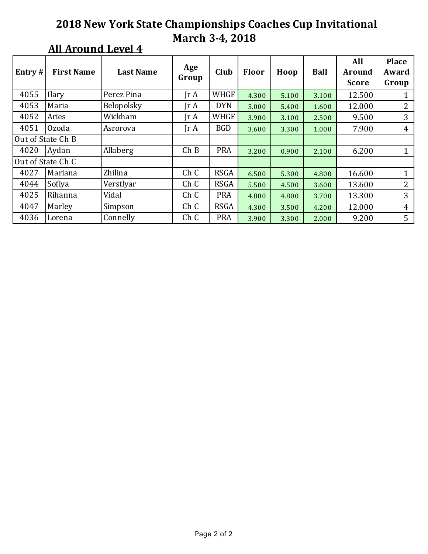| Entry#            | <b>First Name</b> | <b>Last Name</b> | Age<br>Group            | Club        | Floor | Hoop  | <b>Ball</b> | All<br><b>Around</b><br><b>Score</b> | <b>Place</b><br>Award<br>Group |
|-------------------|-------------------|------------------|-------------------------|-------------|-------|-------|-------------|--------------------------------------|--------------------------------|
| 4055              | Ilary             | Perez Pina       | $\text{Tr } \mathbf{A}$ | <b>WHGF</b> | 4.300 | 5.100 | 3.100       | 12.500                               | 1                              |
| 4053              | Maria             | Belopolsky       | $\text{Tr }A$           | <b>DYN</b>  | 5.000 | 5.400 | 1.600       | 12.000                               | 2                              |
| 4052              | Aries             | Wickham          | $\text{Tr } \mathbf{A}$ | <b>WHGF</b> | 3.900 | 3.100 | 2.500       | 9.500                                | 3                              |
| 4051              | Ozoda             | Asrorova         | $\text{Tr }A$           | <b>BGD</b>  | 3.600 | 3.300 | 1.000       | 7.900                                | $\overline{4}$                 |
| Out of State Ch B |                   |                  |                         |             |       |       |             |                                      |                                |
| 4020              | Aydan             | Allaberg         | Ch B                    | <b>PRA</b>  | 3.200 | 0.900 | 2.100       | 6.200                                | 1                              |
|                   | Out of State Ch C |                  |                         |             |       |       |             |                                      |                                |
| 4027              | Mariana           | Zhilina          | Ch C                    | <b>RSGA</b> | 6.500 | 5.300 | 4.800       | 16.600                               | 1                              |
| 4044              | Sofiya            | Verstlyar        | Ch C                    | <b>RSGA</b> | 5.500 | 4.500 | 3.600       | 13.600                               | 2                              |
| 4025              | Rihanna           | Vidal            | Ch C                    | <b>PRA</b>  | 4.800 | 4.800 | 3.700       | 13.300                               | 3                              |
| 4047              | Marley            | Simpson          | Ch C                    | <b>RSGA</b> | 4.300 | 3.500 | 4.200       | 12.000                               | 4                              |
| 4036              | Lorena            | Connelly         | Ch C                    | <b>PRA</b>  | 3.900 | 3.300 | 2.000       | 9.200                                | 5                              |

## **All Around Level 4**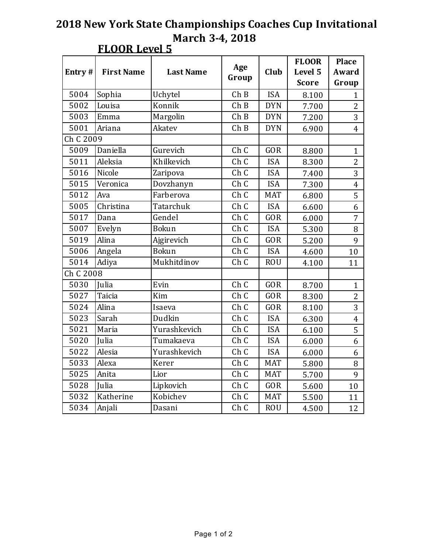| Entry#    | <b>First Name</b> | <b>Last Name</b> | Age<br>Group | Club       | <b>FLOOR</b><br>Level 5 | <b>Place</b><br>Award   |
|-----------|-------------------|------------------|--------------|------------|-------------------------|-------------------------|
|           |                   |                  |              |            | <b>Score</b>            | Group                   |
| 5004      | Sophia            | Uchytel          | ChB          | <b>ISA</b> | 8.100                   | $\mathbf{1}$            |
| 5002      | Louisa            | Konnik           | ChB          | <b>DYN</b> | 7.700                   | 2                       |
| 5003      | Emma              | Margolin         | ChB          | <b>DYN</b> | 7.200                   | 3                       |
| 5001      | Ariana            | Akatev           | ChB          | <b>DYN</b> | 6.900                   | $\overline{4}$          |
| Ch C 2009 |                   |                  |              |            |                         |                         |
| 5009      | Daniella          | Gurevich         |              | <b>GOR</b> | 8.800                   | $\mathbf{1}$            |
| 5011      | Aleksia           | Khilkevich       | Ch C         | <b>ISA</b> | 8.300                   | $\overline{2}$          |
| 5016      | Nicole            | Zaripova         | Ch C         | <b>ISA</b> | 7.400                   | 3                       |
| 5015      | Veronica          | Dovzhanyn        | Ch C         | <b>ISA</b> | 7.300                   | $\overline{\mathbf{4}}$ |
| 5012      | Ava               | Farberova        | Ch C         | <b>MAT</b> | 6.800                   | 5                       |
| 5005      | Christina         | Tatarchuk        | Ch C         | <b>ISA</b> | 6.600                   | 6                       |
| 5017      | Dana              | Gendel           | Ch C         | GOR        | 6.000                   | 7                       |
| 5007      | Evelyn            | <b>Bokun</b>     | Ch C         | <b>ISA</b> | 5.300                   | 8                       |
| 5019      | Alina             | Ajgirevich       | Ch C         | <b>GOR</b> | 5.200                   | 9                       |
| 5006      | Angela            | <b>Bokun</b>     | Ch C         | <b>ISA</b> | 4.600                   | 10                      |
| 5014      | Adiya             | Mukhitdinov      | Ch C         | <b>ROU</b> | 4.100                   | 11                      |
| Ch C 2008 |                   |                  |              |            |                         |                         |
| 5030      | Julia             | Evin             | Ch C         | <b>GOR</b> | 8.700                   | $\mathbf{1}$            |
| 5027      | Taicia            | Kim              | Ch C         | <b>GOR</b> | 8.300                   | $\overline{2}$          |
| 5024      | Alina             | Isaeva           | Ch C         | <b>GOR</b> | 8.100                   | 3                       |
| 5023      | Sarah             | Dudkin           | Ch C         | <b>ISA</b> | 6.300                   | $\overline{4}$          |
| 5021      | Maria             | Yurashkevich     | Ch C         | <b>ISA</b> | 6.100                   | 5                       |
| 5020      | Julia             | Tumakaeva        | Ch C         | <b>ISA</b> | 6.000                   | 6                       |
| 5022      | Alesia            | Yurashkevich     | Ch C         | <b>ISA</b> | 6.000                   | 6                       |
| 5033      | Alexa             | Kerer            | Ch C         | <b>MAT</b> | 5.800                   | 8                       |
| 5025      | Anita             | Lior             | Ch C         | <b>MAT</b> | 5.700                   | 9                       |
| 5028      | Julia             | Lipkovich        | Ch C         | <b>GOR</b> | 5.600                   | 10                      |
| 5032      | Katherine         | Kobichev         | Ch C         | <b>MAT</b> | 5.500                   | 11                      |
| 5034      | Anjali            | Dasani           | Ch C         | <b>ROU</b> | 4.500                   | 12                      |

## **FLOOR Level 5**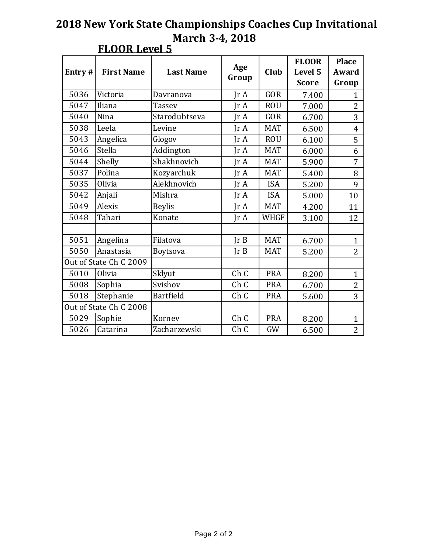| Entry# | <b>First Name</b>      | <b>Last Name</b> | Age<br>Group            | Club        | <b>FLOOR</b><br>Level 5<br><b>Score</b> | <b>Place</b><br>Award<br>Group |
|--------|------------------------|------------------|-------------------------|-------------|-----------------------------------------|--------------------------------|
| 5036   | Victoria               | Davranova        | Ir A                    | <b>GOR</b>  | 7.400                                   | $\mathbf{1}$                   |
| 5047   | Iliana                 | <b>Tassev</b>    | IrA                     | <b>ROU</b>  | 7.000                                   | 2                              |
| 5040   | Nina                   | Starodubtseva    | $\text{Tr } \mathbf{A}$ | <b>GOR</b>  | 6.700                                   | 3                              |
| 5038   | Leela                  | Levine           | IrA                     | <b>MAT</b>  | 6.500                                   | $\overline{4}$                 |
| 5043   | Angelica               | Glogov           | IrA                     | <b>ROU</b>  | 6.100                                   | 5                              |
| 5046   | Stella                 | Addington        | IrA                     | <b>MAT</b>  | 6.000                                   | 6                              |
| 5044   | Shelly                 | Shakhnovich      | Ir A                    | <b>MAT</b>  | 5.900                                   | 7                              |
| 5037   | Polina                 | Kozyarchuk       | JrA                     | <b>MAT</b>  | 5.400                                   | 8                              |
| 5035   | Olivia                 | Alekhnovich      | Ir A                    | <b>ISA</b>  | 5.200                                   | 9                              |
| 5042   | Anjali                 | Mishra           | IrA                     | <b>ISA</b>  | 5.000                                   | 10                             |
| 5049   | Alexis                 | <b>Beylis</b>    | $\text{Tr }A$           | <b>MAT</b>  | 4.200                                   | 11                             |
| 5048   | Tahari                 | Konate           | $\text{Ir } A$          | <b>WHGF</b> | 3.100                                   | 12                             |
|        |                        |                  |                         |             |                                         |                                |
| 5051   | Angelina               | Filatova         | JrB                     | <b>MAT</b>  | 6.700                                   | $\mathbf{1}$                   |
| 5050   | Anastasia              | Boytsova         | Ir B                    | <b>MAT</b>  | 5.200                                   | $\overline{2}$                 |
|        | Out of State Ch C 2009 |                  |                         |             |                                         |                                |
| 5010   | Olivia                 | Sklyut           | Ch C                    | <b>PRA</b>  | 8.200                                   | $\mathbf{1}$                   |
| 5008   | Sophia                 | Svishov          | Ch C                    | <b>PRA</b>  | 6.700                                   | $\overline{2}$                 |
| 5018   | Stephanie              | Bartfield        | Ch C                    | <b>PRA</b>  | 5.600                                   | 3                              |
|        | Out of State Ch C 2008 |                  |                         |             |                                         |                                |
| 5029   | Sophie                 | Kornev           | Ch C                    | <b>PRA</b>  | 8.200                                   | $\mathbf{1}$                   |
| 5026   | Catarina               | Zacharzewski     | Ch C                    | GW          | 6.500                                   | $\overline{2}$                 |

#### **FLOOR Level 5**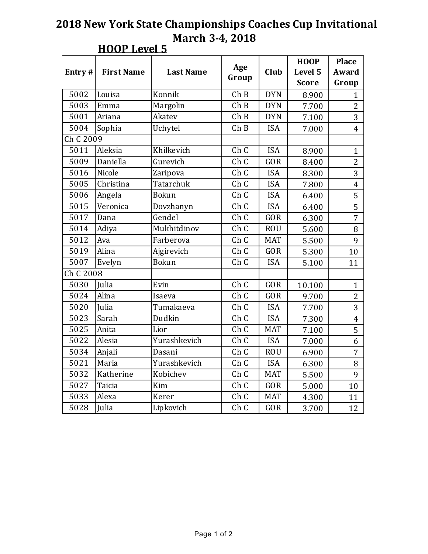|           |                       |                  |       |            | <b>HOOP</b>  | <b>Place</b>   |
|-----------|-----------------------|------------------|-------|------------|--------------|----------------|
| Entry#    | <b>First Name</b>     | <b>Last Name</b> | Age   | Club       | Level 5      | Award          |
|           |                       |                  | Group |            | <b>Score</b> | Group          |
| 5002      | Louisa                | Konnik           | ChB   | <b>DYN</b> | 8.900        | $\mathbf{1}$   |
| 5003      | Emma                  | Margolin         | ChB   | <b>DYN</b> | 7.700        | $\overline{2}$ |
| 5001      | Ariana                | Akatev           | ChB   | <b>DYN</b> | 7.100        | 3              |
| 5004      | Sophia                | Uchytel          | ChB   | <b>ISA</b> | 7.000        | $\overline{4}$ |
| Ch C 2009 |                       |                  |       |            |              |                |
| 5011      | Aleksia<br>Khilkevich |                  | Ch C  | <b>ISA</b> | 8.900        | $\mathbf{1}$   |
| 5009      | Daniella              | Gurevich         | Ch C  | <b>GOR</b> | 8.400        | 2              |
| 5016      | Nicole                | Zaripova         | Ch C  | <b>ISA</b> | 8.300        | 3              |
| 5005      | Christina             | Tatarchuk        | Ch C  | <b>ISA</b> | 7.800        | $\overline{4}$ |
| 5006      | Angela                | Bokun            | Ch C  | <b>ISA</b> | 6.400        | 5              |
| 5015      | Veronica              | Dovzhanyn        | Ch C  | <b>ISA</b> | 6.400        | 5              |
| 5017      | Dana                  | Gendel           | Ch C  | GOR        | 6.300        | 7              |
| 5014      | Adiya                 | Mukhitdinov      | Ch C  | <b>ROU</b> | 5.600        | 8              |
| 5012      | Ava                   | Farberova        | Ch C  | <b>MAT</b> | 5.500        | 9              |
| 5019      | Alina                 | Ajgirevich       | Ch C  | <b>GOR</b> | 5.300        | 10             |
| 5007      | Evelyn                | <b>Bokun</b>     | Ch C  | <b>ISA</b> | 5.100        | 11             |
| Ch C 2008 |                       |                  |       |            |              |                |
| 5030      | Julia                 | Evin             | Ch C  | <b>GOR</b> | 10.100       | $\mathbf{1}$   |
| 5024      | Alina                 | Isaeva           | Ch C  | <b>GOR</b> | 9.700        | $\overline{2}$ |
| 5020      | Julia                 | Tumakaeva        | Ch C  | <b>ISA</b> | 7.700        | 3              |
| 5023      | Sarah                 | Dudkin           | Ch C  | <b>ISA</b> | 7.300        | $\overline{4}$ |
| 5025      | Anita                 | Lior             | Ch C  | <b>MAT</b> | 7.100        | 5              |
| 5022      | Alesia                | Yurashkevich     | Ch C  | <b>ISA</b> | 7.000        | 6              |
| 5034      | Anjali                | Dasani           | Ch C  | <b>ROU</b> | 6.900        | 7              |
| 5021      | Maria                 | Yurashkevich     | Ch C  | <b>ISA</b> | 6.300        | 8              |
| 5032      | Katherine             | Kobichev         | Ch C  | <b>MAT</b> | 5.500        | 9              |
| 5027      | Taicia                | Kim              | Ch C  | <b>GOR</b> | 5.000        | 10             |
| 5033      | Alexa                 | Kerer            | Ch C  | <b>MAT</b> | 4.300        | 11             |
| 5028      | Julia                 | Lipkovich        | Ch C  | <b>GOR</b> | 3.700        | 12             |

#### **HOOP** Level 5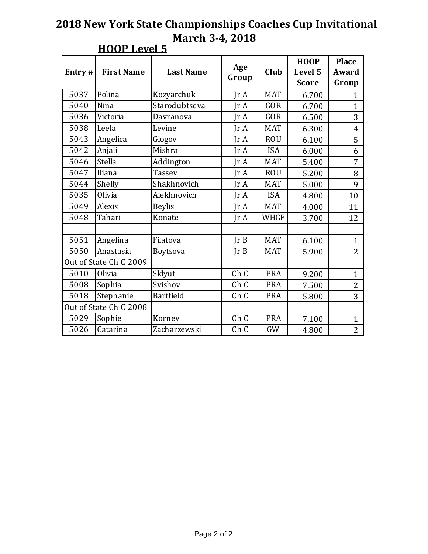| Entry# | <b>First Name</b>      | <b>Last Name</b> | Age<br>Group            | Club        | <b>HOOP</b><br>Level 5<br><b>Score</b> | <b>Place</b><br>Award<br>Group |
|--------|------------------------|------------------|-------------------------|-------------|----------------------------------------|--------------------------------|
| 5037   | Polina                 | Kozyarchuk       | $\text{Tr } \mathbf{A}$ | <b>MAT</b>  | 6.700                                  | $\mathbf{1}$                   |
| 5040   | Nina                   | Starodubtseva    | IrA                     | <b>GOR</b>  | 6.700                                  | $\mathbf{1}$                   |
| 5036   | Victoria               | Davranova        | $\text{Tr } \mathbf{A}$ | <b>GOR</b>  | 6.500                                  | 3                              |
| 5038   | Leela                  | Levine           | IrA                     | <b>MAT</b>  | 6.300                                  | $\overline{4}$                 |
| 5043   | Angelica               | Glogov           | IrA                     | <b>ROU</b>  | 6.100                                  | 5                              |
| 5042   | Anjali                 | Mishra           | IrA                     | <b>ISA</b>  | 6.000                                  | 6                              |
| 5046   | Stella                 | Addington        | IrA                     | <b>MAT</b>  | 5.400                                  | $\overline{7}$                 |
| 5047   | Iliana                 | <b>Tassev</b>    | IrA                     | <b>ROU</b>  | 5.200                                  | 8                              |
| 5044   | Shelly                 | Shakhnovich      | JrA                     | <b>MAT</b>  | 5.000                                  | 9                              |
| 5035   | Olivia                 | Alekhnovich      | JrA                     | <b>ISA</b>  | 4.800                                  | 10                             |
| 5049   | Alexis                 | <b>Beylis</b>    | Ir A                    | <b>MAT</b>  | 4.000                                  | 11                             |
| 5048   | Tahari                 | Konate           | IrA                     | <b>WHGF</b> | 3.700                                  | 12                             |
|        |                        |                  |                         |             |                                        |                                |
| 5051   | Angelina               | Filatova         | Ir B                    | <b>MAT</b>  | 6.100                                  | $\mathbf{1}$                   |
| 5050   | Anastasia              | Boytsova         | Ir B                    | <b>MAT</b>  | 5.900                                  | $\overline{2}$                 |
|        | Out of State Ch C 2009 |                  |                         |             |                                        |                                |
| 5010   | Olivia                 | Sklyut           | Ch C                    | <b>PRA</b>  | 9.200                                  | $\mathbf{1}$                   |
| 5008   | Sophia                 | Svishov          | Ch C                    | <b>PRA</b>  | 7.500                                  | 2                              |
| 5018   | Stephanie              | Bartfield        | Ch C                    | <b>PRA</b>  | 5.800                                  | 3                              |
|        | Out of State Ch C 2008 |                  |                         |             |                                        |                                |
| 5029   | Sophie                 | Kornev           | Ch C                    | <b>PRA</b>  | 7.100                                  | $\mathbf{1}$                   |
| 5026   | Catarina               | Zacharzewski     | Ch C                    | GW          | 4.800                                  | $\overline{2}$                 |

## **HOOP** Level 5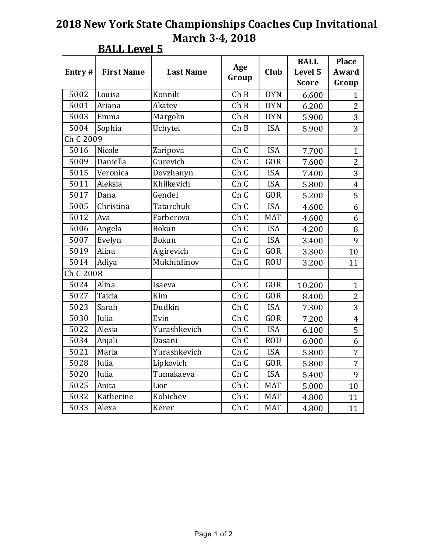| Entry#    | <b>First Name</b> | <b>Last Name</b> | Age<br>Group | Club       | <b>BALL</b><br>Level 5 | <b>Place</b><br>Award |
|-----------|-------------------|------------------|--------------|------------|------------------------|-----------------------|
|           |                   |                  |              |            | <b>Score</b>           | Group                 |
| 5002      | Louisa            | Konnik           | ChB          | <b>DYN</b> | 6.600                  | $\mathbf{1}$          |
| 5001      | Ariana            | Akatev           | ChB          | <b>DYN</b> | 6.200                  | 2                     |
| 5003      | Emma              | Margolin         | ChB          | <b>DYN</b> | 5.900                  | 3                     |
| 5004      | Sophia            | Uchytel          | ChB          | <b>ISA</b> | 5.900                  | 3                     |
| Ch C 2009 |                   |                  |              |            |                        |                       |
| 5016      | Nicole            | Zaripova         | Ch C         | <b>ISA</b> | 7.700                  | $\mathbf{1}$          |
| 5009      | Daniella          | Gurevich         | Ch C         | <b>GOR</b> | 7.600                  | $\overline{2}$        |
| 5015      | Veronica          | Dovzhanyn        | Ch C         | <b>ISA</b> | 7.400                  | 3                     |
| 5011      | Aleksia           | Khilkevich       | Ch C         | <b>ISA</b> | 5.800                  | $\overline{4}$        |
| 5017      | Dana              | Gendel           | Ch C         | <b>GOR</b> | 5.200                  | 5                     |
| 5005      | Christina         | Tatarchuk        | Ch C         | <b>ISA</b> | 4.600                  | 6                     |
| 5012      | Ava               | Farberova        | Ch C         | <b>MAT</b> | 4.600                  | 6                     |
| 5006      | Angela            | <b>Bokun</b>     | Ch C         | <b>ISA</b> | 4.200                  | 8                     |
| 5007      | Evelyn            | Bokun            | Ch C         | <b>ISA</b> | 3.400                  | 9                     |
| 5019      | Alina             | Ajgirevich       | Ch C         | GOR        | 3.300                  | 10                    |
| 5014      | Adiya             | Mukhitdinov      | Ch C         | <b>ROU</b> | 3.200                  | 11                    |
| Ch C 2008 |                   |                  |              |            |                        |                       |
| 5024      | Alina             | Isaeva           | Ch C         | GOR        | 10.200                 | $\mathbf{1}$          |
| 5027      | Taicia            | Kim              | Ch C         | <b>GOR</b> | 8.400                  | $\overline{2}$        |
| 5023      | Sarah             | Dudkin           | Ch C         | <b>ISA</b> | 7.300                  | 3                     |
| 5030      | Julia             | Evin             | Ch C         | GOR        | 7.200                  | $\overline{4}$        |
| 5022      | Alesia            | Yurashkevich     | Ch C         | <b>ISA</b> | 6.100                  | 5                     |
| 5034      | Anjali            | Dasani           | Ch C         | <b>ROU</b> | 6.000                  | 6                     |
| 5021      | Maria             | Yurashkevich     | Ch C         | <b>ISA</b> | 5.800                  | 7                     |
| 5028      | Julia             | Lipkovich        | Ch C         | GOR        | 5.800                  | $\overline{7}$        |
| 5020      | Julia             | Tumakaeva        | Ch C         | <b>ISA</b> | 5.400                  | 9                     |
| 5025      | Anita             | Lior             | Ch C         | <b>MAT</b> | 5.000                  | 10                    |
| 5032      | Katherine         | Kobichev         | Ch C         | <b>MAT</b> | 4.800                  | 11                    |
| 5033      | Alexa             | Kerer            | Ch C         | <b>MAT</b> | 4.800                  | 11                    |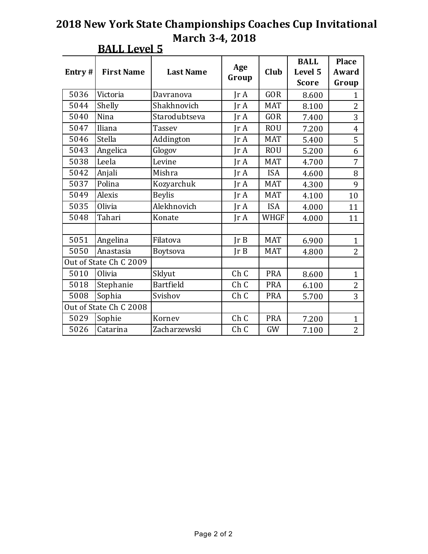| Entry# | <b>First Name</b>      | <b>Last Name</b> | Age<br>Group  | Club        | <b>BALL</b><br>Level 5<br><b>Score</b> | <b>Place</b><br>Award<br>Group |
|--------|------------------------|------------------|---------------|-------------|----------------------------------------|--------------------------------|
| 5036   | Victoria               | Davranova        | IrA           | <b>GOR</b>  | 8.600                                  | $\mathbf{1}$                   |
| 5044   | Shelly                 | Shakhnovich      | IrA           | <b>MAT</b>  | 8.100                                  | $\overline{2}$                 |
| 5040   | Nina                   | Starodubtseva    | Ir A          | <b>GOR</b>  | 7.400                                  | 3                              |
| 5047   | Iliana                 | <b>Tassev</b>    | IrA           | <b>ROU</b>  | 7.200                                  | $\overline{4}$                 |
| 5046   | Stella                 | Addington        | IrA           | <b>MAT</b>  | 5.400                                  | 5                              |
| 5043   | Angelica               | Glogov           | IrA           | <b>ROU</b>  | 5.200                                  | 6                              |
| 5038   | Leela                  | Levine           | IrA           | <b>MAT</b>  | 4.700                                  | $\overline{7}$                 |
| 5042   | Anjali                 | Mishra           | IrA           | <b>ISA</b>  | 4.600                                  | 8                              |
| 5037   | Polina                 | Kozyarchuk       | JrA           | <b>MAT</b>  | 4.300                                  | 9                              |
| 5049   | Alexis                 | <b>Beylis</b>    | IrA           | <b>MAT</b>  | 4.100                                  | 10                             |
| 5035   | Olivia                 | Alekhnovich      | $\text{Tr }A$ | <b>ISA</b>  | 4.000                                  | 11                             |
| 5048   | Tahari                 | Konate           | IrA           | <b>WHGF</b> | 4.000                                  | 11                             |
|        |                        |                  |               |             |                                        |                                |
| 5051   | Angelina               | Filatova         | Ir B          | <b>MAT</b>  | 6.900                                  | $\mathbf{1}$                   |
| 5050   | Anastasia              | Boytsova         | Ir B          | <b>MAT</b>  | 4.800                                  | $\overline{2}$                 |
|        | Out of State Ch C 2009 |                  |               |             |                                        |                                |
| 5010   | Olivia                 | Sklyut           | Ch C          | <b>PRA</b>  | 8.600                                  | $\mathbf{1}$                   |
| 5018   | Stephanie              | Bartfield        | Ch C          | <b>PRA</b>  | 6.100                                  | $\overline{2}$                 |
| 5008   | Sophia                 | Svishov          | Ch C          | <b>PRA</b>  | 5.700                                  | 3                              |
|        | Out of State Ch C 2008 |                  |               |             |                                        |                                |
| 5029   | Sophie                 | Kornev           | Ch C          | <b>PRA</b>  | 7.200                                  | $\mathbf{1}$                   |
| 5026   | Catarina               | Zacharzewski     | Ch C          | GW          | 7.100                                  | $\overline{2}$                 |

### **BALL Level 5**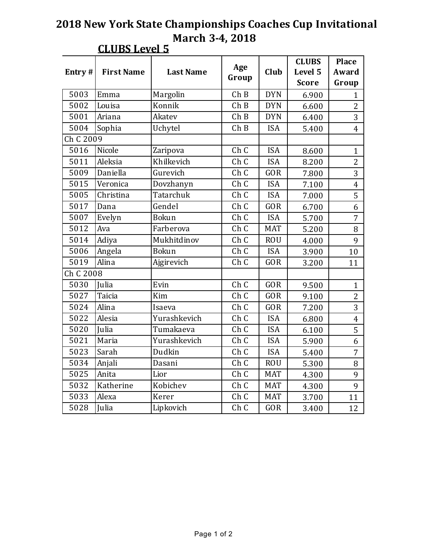| Entry#    | <b>First Name</b> | <b>Last Name</b> | Age<br>Group       | Club       | <b>CLUBS</b><br>Level 5<br><b>Score</b> | <b>Place</b><br>Award<br>Group |
|-----------|-------------------|------------------|--------------------|------------|-----------------------------------------|--------------------------------|
| 5003      | Emma              | Margolin         | ChB                | <b>DYN</b> | 6.900                                   | $\mathbf{1}$                   |
| 5002      | Louisa            | Konnik           | $\overline{C}$ h B | <b>DYN</b> | 6.600                                   | $\overline{2}$                 |
| 5001      | Ariana            | Akatev           | ChB                | <b>DYN</b> | 6.400                                   | 3                              |
| 5004      | Sophia            | Uchytel          | ChB                | <b>ISA</b> | 5.400                                   | $\overline{4}$                 |
| Ch C 2009 |                   |                  |                    |            |                                         |                                |
| 5016      | Nicole            | Zaripova         | Ch C               | <b>ISA</b> | 8.600                                   | $\mathbf{1}$                   |
| 5011      | Aleksia           | Khilkevich       | Ch C               | <b>ISA</b> | 8.200                                   | $\overline{2}$                 |
| 5009      | Daniella          | Gurevich         | Ch C               | GOR        | 7.800                                   | 3                              |
| 5015      | Veronica          | Dovzhanyn        | Ch C               | <b>ISA</b> | 7.100                                   | $\overline{4}$                 |
| 5005      | Christina         | Tatarchuk        | Ch C               | <b>ISA</b> | 7.000                                   | 5                              |
| 5017      | Dana              | Gendel           | Ch C               | GOR        | 6.700                                   | 6                              |
| 5007      | Evelyn            | <b>Bokun</b>     | Ch C               | <b>ISA</b> | 5.700                                   | $\overline{7}$                 |
| 5012      | Ava               | Farberova        | Ch C               | <b>MAT</b> | 5.200                                   | 8                              |
| 5014      | Adiya             | Mukhitdinov      | Ch C               | <b>ROU</b> | 4.000                                   | 9                              |
| 5006      | Angela            | <b>Bokun</b>     | Ch C               | <b>ISA</b> | 3.900                                   | 10                             |
| 5019      | Alina             | Ajgirevich       | Ch C               | GOR        | 3.200                                   | 11                             |
| Ch C 2008 |                   |                  |                    |            |                                         |                                |
| 5030      | Julia             | Evin             | Ch C               | <b>GOR</b> | 9.500                                   | $\mathbf{1}$                   |
| 5027      | Taicia            | Kim              | Ch C               | <b>GOR</b> | 9.100                                   | $\overline{2}$                 |
| 5024      | Alina             | Isaeva           | Ch C               | GOR        | 7.200                                   | 3                              |
| 5022      | Alesia            | Yurashkevich     | Ch C               | <b>ISA</b> | 6.800                                   | $\overline{4}$                 |
| 5020      | Julia             | Tumakaeva        | Ch C               | <b>ISA</b> | 6.100                                   | 5                              |
| 5021      | Maria             | Yurashkevich     | Ch C               | <b>ISA</b> | 5.900                                   | 6                              |
| 5023      | Sarah             | Dudkin           | Ch C               | <b>ISA</b> | 5.400                                   | 7                              |
| 5034      | Anjali            | Dasani           | Ch C               | <b>ROU</b> | 5.300                                   | 8                              |
| 5025      | Anita             | Lior             | Ch C               | <b>MAT</b> | 4.300                                   | 9                              |
| 5032      | Katherine         | Kobichev         | Ch C               | <b>MAT</b> | 4.300                                   | 9                              |
| 5033      | Alexa             | Kerer            | Ch C               | <b>MAT</b> | 3.700                                   | 11                             |
| 5028      | Julia             | Lipkovich        | Ch C               | GOR        | 3.400                                   | 12                             |

## **CLUBS Level 5**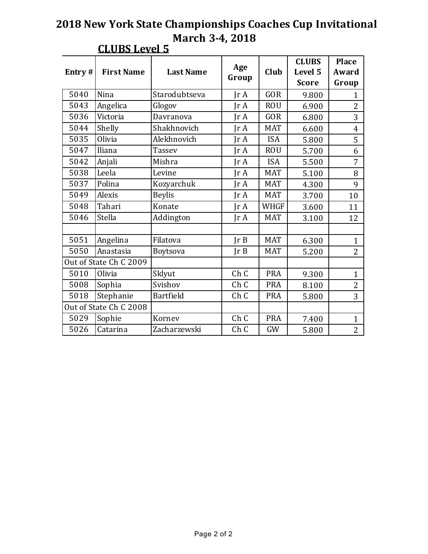| Entry# | <b>First Name</b>      | <b>Last Name</b> | Age<br>Group            | Club        | <b>CLUBS</b><br>Level 5<br><b>Score</b> | <b>Place</b><br>Award<br>Group |
|--------|------------------------|------------------|-------------------------|-------------|-----------------------------------------|--------------------------------|
| 5040   | <b>Nina</b>            | Starodubtseva    | $\text{Tr } \mathbf{A}$ | <b>GOR</b>  | 9.800                                   | $\mathbf{1}$                   |
| 5043   | Angelica               | Glogov           | IrA                     | <b>ROU</b>  | 6.900                                   | 2                              |
| 5036   | Victoria               | Davranova        | IrA                     | <b>GOR</b>  | 6.800                                   | 3                              |
| 5044   | Shelly                 | Shakhnovich      | IrA                     | <b>MAT</b>  | 6.600                                   | $\overline{4}$                 |
| 5035   | Olivia                 | Alekhnovich      | Ir A                    | <b>ISA</b>  | 5.800                                   | 5                              |
| 5047   | Iliana                 | <b>Tassev</b>    | IrA                     | <b>ROU</b>  | 5.700                                   | 6                              |
| 5042   | Anjali                 | Mishra           | IrA                     | <b>ISA</b>  | 5.500                                   | 7                              |
| 5038   | Leela                  | Levine           | IrA                     | <b>MAT</b>  | 5.100                                   | 8                              |
| 5037   | Polina                 | Kozyarchuk       | IrA                     | <b>MAT</b>  | 4.300                                   | 9                              |
| 5049   | Alexis                 | <b>Beylis</b>    | IrA                     | <b>MAT</b>  | 3.700                                   | 10                             |
| 5048   | Tahari                 | Konate           | IrA                     | <b>WHGF</b> | 3.600                                   | 11                             |
| 5046   | Stella                 | Addington        | $\text{Ir } A$          | <b>MAT</b>  | 3.100                                   | 12                             |
|        |                        |                  |                         |             |                                         |                                |
| 5051   | Angelina               | Filatova         | Ir B                    | <b>MAT</b>  | 6.300                                   | $\mathbf{1}$                   |
| 5050   | Anastasia              | Boytsova         | Ir B                    | <b>MAT</b>  | 5.200                                   | $\overline{2}$                 |
|        | Out of State Ch C 2009 |                  |                         |             |                                         |                                |
| 5010   | Olivia                 | Sklyut           | Ch C                    | <b>PRA</b>  | 9.300                                   | $\mathbf{1}$                   |
| 5008   | Sophia                 | Svishov          | Ch C                    | <b>PRA</b>  | 8.100                                   | 2                              |
| 5018   | Stephanie              | Bartfield        | Ch C                    | <b>PRA</b>  | 5.800                                   | 3                              |
|        | Out of State Ch C 2008 |                  |                         |             |                                         |                                |
| 5029   | Sophie                 | Kornev           | Ch C                    | <b>PRA</b>  | 7.400                                   | $\mathbf{1}$                   |
| 5026   | Catarina               | Zacharzewski     | Ch C                    | GW          | 5.800                                   | $\overline{2}$                 |

#### **CLUBS Level 5**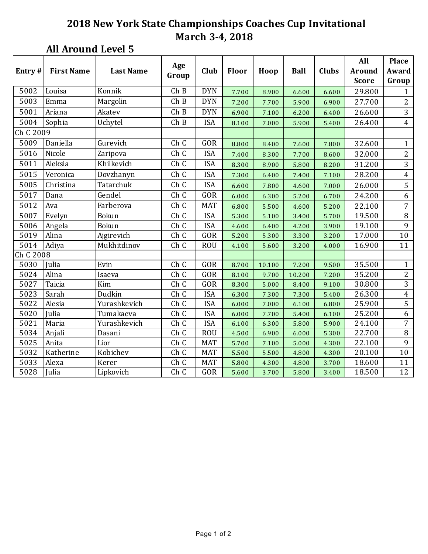# **All Around Level 5**

|           |                   |                  | Age   |            |       |        |             |              | All          | <b>Place</b>   |
|-----------|-------------------|------------------|-------|------------|-------|--------|-------------|--------------|--------------|----------------|
| Entry#    | <b>First Name</b> | <b>Last Name</b> | Group | Club       | Floor | Hoop   | <b>Ball</b> | <b>Clubs</b> | Around       | Award          |
|           |                   |                  |       |            |       |        |             |              | <b>Score</b> | Group          |
| 5002      | Louisa            | Konnik           | ChB   | <b>DYN</b> | 7.700 | 8.900  | 6.600       | 6.600        | 29.800       | 1              |
| 5003      | Emma              | Margolin         | ChB   | <b>DYN</b> | 7.200 | 7.700  | 5.900       | 6.900        | 27.700       | $\overline{2}$ |
| 5001      | Ariana            | Akatev           | ChB   | <b>DYN</b> | 6.900 | 7.100  | 6.200       | 6.400        | 26.600       | 3              |
| 5004      | Sophia            | Uchytel          | ChB   | <b>ISA</b> | 8.100 | 7.000  | 5.900       | 5.400        | 26.400       | $\overline{4}$ |
| Ch C 2009 |                   |                  |       |            |       |        |             |              |              |                |
| 5009      | Daniella          | Gurevich         | Ch C  | GOR        | 8.800 | 8.400  | 7.600       | 7.800        | 32.600       | $\mathbf{1}$   |
| 5016      | Nicole            | Zaripova         | Ch C  | <b>ISA</b> | 7.400 | 8.300  | 7.700       | 8.600        | 32.000       | 2              |
| 5011      | Aleksia           | Khilkevich       | Ch C  | <b>ISA</b> | 8.300 | 8.900  | 5.800       | 8.200        | 31.200       | 3              |
| 5015      | Veronica          | Dovzhanyn        | Ch C  | <b>ISA</b> | 7.300 | 6.400  | 7.400       | 7.100        | 28.200       | $\overline{4}$ |
| 5005      | Christina         | Tatarchuk        | Ch C  | <b>ISA</b> | 6.600 | 7.800  | 4.600       | 7.000        | 26.000       | 5              |
| 5017      | Dana              | Gendel           | Ch C  | GOR        | 6.000 | 6.300  | 5.200       | 6.700        | 24.200       | 6              |
| 5012      | Ava               | Farberova        | Ch C  | <b>MAT</b> | 6.800 | 5.500  | 4.600       | 5.200        | 22.100       | 7              |
| 5007      | Evelyn            | Bokun            | Ch C  | <b>ISA</b> | 5.300 | 5.100  | 3.400       | 5.700        | 19.500       | 8              |
| 5006      | Angela            | Bokun            | Ch C  | <b>ISA</b> | 4.600 | 6.400  | 4.200       | 3.900        | 19.100       | 9              |
| 5019      | Alina             | Ajgirevich       | Ch C  | GOR        | 5.200 | 5.300  | 3.300       | 3.200        | 17.000       | 10             |
| 5014      | Adiya             | Mukhitdinov      | Ch C  | <b>ROU</b> | 4.100 | 5.600  | 3.200       | 4.000        | 16.900       | 11             |
| Ch C 2008 |                   |                  |       |            |       |        |             |              |              |                |
| 5030      | Julia             | Evin             | Ch C  | GOR        | 8.700 | 10.100 | 7.200       | 9.500        | 35.500       | $\mathbf{1}$   |
| 5024      | Alina             | Isaeva           | Ch C  | GOR        | 8.100 | 9.700  | 10.200      | 7.200        | 35.200       | $\overline{2}$ |
| 5027      | Taicia            | Kim              | Ch C  | <b>GOR</b> | 8.300 | 5.000  | 8.400       | 9.100        | 30.800       | 3              |
| 5023      | Sarah             | Dudkin           | Ch C  | <b>ISA</b> | 6.300 | 7.300  | 7.300       | 5.400        | 26.300       | $\overline{4}$ |
| 5022      | Alesia            | Yurashkevich     | Ch C  | <b>ISA</b> | 6.000 | 7.000  | 6.100       | 6.800        | 25.900       | 5              |
| 5020      | Julia             | Tumakaeva        | Ch C  | <b>ISA</b> | 6.000 | 7.700  | 5.400       | 6.100        | 25.200       | 6              |
| 5021      | Maria             | Yurashkevich     | Ch C  | <b>ISA</b> | 6.100 | 6.300  | 5.800       | 5.900        | 24.100       | 7              |
| 5034      | Anjali            | Dasani           | Ch C  | <b>ROU</b> | 4.500 | 6.900  | 6.000       | 5.300        | 22.700       | $\, 8$         |
| 5025      | Anita             | Lior             | Ch C  | <b>MAT</b> | 5.700 | 7.100  | 5.000       | 4.300        | 22.100       | 9              |
| 5032      | Katherine         | Kobichev         | Ch C  | <b>MAT</b> | 5.500 | 5.500  | 4.800       | 4.300        | 20.100       | 10             |
| 5033      | Alexa             | Kerer            | Ch C  | <b>MAT</b> | 5.800 | 4.300  | 4.800       | 3.700        | 18.600       | 11             |
| 5028      | Julia             | Lipkovich        | Ch C  | GOR        | 5.600 | 3.700  | 5.800       | 3.400        | 18.500       | 12             |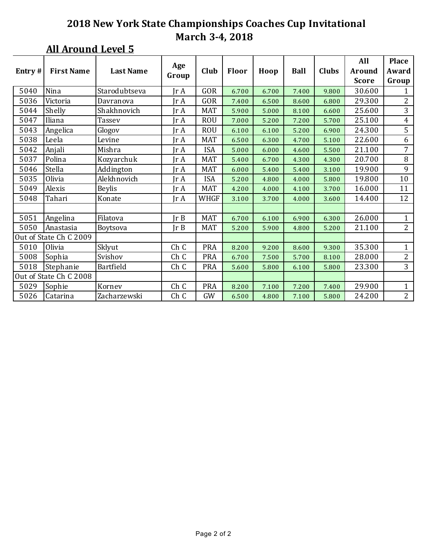## **All Around Level 5**

| Entry# | <b>First Name</b>      | <b>Last Name</b> | Age                     | Club       | Floor | Hoop  | <b>Ball</b> | <b>Clubs</b> | All<br><b>Around</b> | <b>Place</b><br>Award |
|--------|------------------------|------------------|-------------------------|------------|-------|-------|-------------|--------------|----------------------|-----------------------|
|        |                        |                  | Group                   |            |       |       |             |              | <b>Score</b>         | Group                 |
| 5040   | Nina                   | Starodubtseva    | $\text{Tr } \mathbf{A}$ | GOR        | 6.700 | 6.700 | 7.400       | 9.800        | 30.600               | $\mathbf{1}$          |
| 5036   | Victoria               | Davranova        | Jr A                    | GOR        | 7.400 | 6.500 | 8.600       | 6.800        | 29.300               | $\overline{2}$        |
| 5044   | Shelly                 | Shakhnovich      | $\text{Tr } \mathbf{A}$ | <b>MAT</b> | 5.900 | 5.000 | 8.100       | 6.600        | 25.600               | 3                     |
| 5047   | Iliana                 | Tassev           | IrA                     | <b>ROU</b> | 7.000 | 5.200 | 7.200       | 5.700        | 25.100               | $\overline{4}$        |
| 5043   | Angelica               | Glogov           | $\text{Tr } \mathbf{A}$ | <b>ROU</b> | 6.100 | 6.100 | 5.200       | 6.900        | 24.300               | 5                     |
| 5038   | Leela                  | Levine           | $\text{Tr } \mathbf{A}$ | <b>MAT</b> | 6.500 | 6.300 | 4.700       | 5.100        | 22.600               | 6                     |
| 5042   | Anjali                 | Mishra           | IrA                     | <b>ISA</b> | 5.000 | 6.000 | 4.600       | 5.500        | 21.100               | 7                     |
| 5037   | Polina                 | Kozyarchuk       | IrA                     | <b>MAT</b> | 5.400 | 6.700 | 4.300       | 4.300        | 20.700               | 8                     |
| 5046   | Stella                 | Addington        | Jr A                    | <b>MAT</b> | 6.000 | 5.400 | 5.400       | 3.100        | 19.900               | 9                     |
| 5035   | Olivia                 | Alekhnovich      | $\text{Tr }A$           | <b>ISA</b> | 5.200 | 4.800 | 4.000       | 5.800        | 19.800               | 10                    |
| 5049   | Alexis                 | <b>Beylis</b>    | $\text{Tr }A$           | <b>MAT</b> | 4.200 | 4.000 | 4.100       | 3.700        | 16.000               | 11                    |
| 5048   | Tahari                 | Konate           | $\text{Tr }A$           | WHGF       | 3.100 | 3.700 | 4.000       | 3.600        | 14.400               | 12                    |
|        |                        |                  |                         |            |       |       |             |              |                      |                       |
| 5051   | Angelina               | Filatova         | Ir B                    | <b>MAT</b> | 6.700 | 6.100 | 6.900       | 6.300        | 26.000               | $\mathbf{1}$          |
| 5050   | Anastasia              | <b>Boytsova</b>  | Ir B                    | <b>MAT</b> | 5.200 | 5.900 | 4.800       | 5.200        | 21.100               | $\overline{2}$        |
|        | Out of State Ch C 2009 |                  |                         |            |       |       |             |              |                      |                       |
| 5010   | Olivia                 | Sklyut           | Ch C                    | <b>PRA</b> | 8.200 | 9.200 | 8.600       | 9.300        | 35.300               | $\mathbf{1}$          |
| 5008   | Sophia                 | Svishov          | Ch C                    | <b>PRA</b> | 6.700 | 7.500 | 5.700       | 8.100        | 28.000               | $\overline{2}$        |
| 5018   | Stephanie              | <b>Bartfield</b> | Ch C                    | PRA        | 5.600 | 5.800 | 6.100       | 5.800        | 23.300               | $\overline{3}$        |
|        | Out of State Ch C 2008 |                  |                         |            |       |       |             |              |                      |                       |
| 5029   | Sophie                 | Kornev           | Ch C                    | <b>PRA</b> | 8.200 | 7.100 | 7.200       | 7.400        | 29.900               | $\mathbf{1}$          |
| 5026   | Catarina               | Zacharzewski     | Ch C                    | GW         | 6.500 | 4.800 | 7.100       | 5.800        | 24.200               | $\overline{2}$        |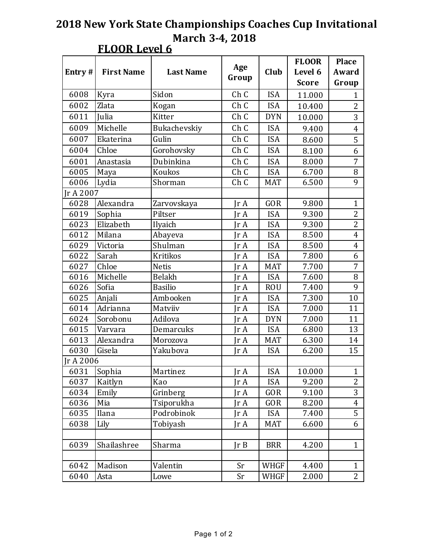|  | R | eı<br>r |
|--|---|---------|
|--|---|---------|

|           |                   |                  |       |             | <b>FLOOR</b> | <b>Place</b>   |
|-----------|-------------------|------------------|-------|-------------|--------------|----------------|
| Entry#    | <b>First Name</b> | <b>Last Name</b> | Age   | Club        | Level 6      | Award          |
|           |                   |                  | Group |             | <b>Score</b> | Group          |
| 6008      | Kyra              | Sidon            | Ch C  | <b>ISA</b>  | 11.000       | 1              |
| 6002      | Zlata             | Kogan            | Ch C  | <b>ISA</b>  | 10.400       | 2              |
| 6011      | Julia             | Kitter           | Ch C  | <b>DYN</b>  | 10.000       | 3              |
| 6009      | Michelle          | Bukachevskiy     | Ch C  | <b>ISA</b>  | 9.400        | $\overline{4}$ |
| 6007      | Ekaterina         | Gulin            | Ch C  | <b>ISA</b>  | 8.600        | 5              |
| 6004      | Chloe             | Gorohovsky       | Ch C  | <b>ISA</b>  | 8.100        | 6              |
| 6001      | Anastasia         | Dubinkina        | Ch C  | <b>ISA</b>  | 8.000        | 7              |
| 6005      | Maya              | Koukos           | Ch C  | <b>ISA</b>  | 6.700        | 8              |
| 6006      | Lydia             | Shorman          | Ch C  | <b>MAT</b>  | 6.500        | 9              |
| Jr A 2007 |                   |                  |       |             |              |                |
| 6028      | Alexandra         | Zarvovskaya      | Jr A  | <b>GOR</b>  | 9.800        | $\mathbf 1$    |
| 6019      | Sophia            | Piltser          | Jr A  | <b>ISA</b>  | 9.300        | $\overline{2}$ |
| 6023      | Elizabeth         | Ilyaich          | Jr A  | <b>ISA</b>  | 9.300        | $\overline{2}$ |
| 6012      | Milana            | Abayeva          | Jr A  | <b>ISA</b>  | 8.500        | $\overline{4}$ |
| 6029      | Victoria          | Shulman          | Jr A  | <b>ISA</b>  | 8.500        | 4              |
| 6022      | Sarah             | Kritikos         | Jr A  | <b>ISA</b>  | 7.800        | 6              |
| 6027      | Chloe             | <b>Netis</b>     | Jr A  | <b>MAT</b>  | 7.700        | 7              |
| 6016      | Michelle          | Belakh           | Jr A  | <b>ISA</b>  | 7.600        | 8              |
| 6026      | Sofia             | <b>Basilio</b>   | Jr A  | <b>ROU</b>  | 7.400        | 9              |
| 6025      | Anjali            | Ambooken         | Jr A  | <b>ISA</b>  | 7.300        | 10             |
| 6014      | Adrianna          | Matviiv          | Jr A  | <b>ISA</b>  | 7.000        | 11             |
| 6024      | Sorobonu          | Adilova          | Jr A  | <b>DYN</b>  | 7.000        | 11             |
| 6015      | Varvara           | Demarcuks        | Jr A  | <b>ISA</b>  | 6.800        | 13             |
| 6013      | Alexandra         | Morozova         | Jr A  | <b>MAT</b>  | 6.300        | 14             |
| 6030      | Gisela            | Yakubova         | Ir A  | <b>ISA</b>  | 6.200        | 15             |
| Jr A 2006 |                   |                  |       |             |              |                |
| 6031      | Sophia            | Martinez         | Jr A  | ISA         | 10.000       | 1              |
| 6037      | Kaitlyn           | Kao              | Ir A  | <b>ISA</b>  | 9.200        | $\overline{2}$ |
| 6034      | Emily             | Grinberg         | Jr A  | GOR         | 9.100        | 3              |
| 6036      | Mia               | Tsiporukha       | Jr A  | GOR         | 8.200        | 4              |
| 6035      | Ilana             | Podrobinok       | Jr A  | <b>ISA</b>  | 7.400        | 5              |
| 6038      | Lily              | Tobiyash         | Jr A  | MAT         | 6.600        | 6              |
|           |                   |                  |       |             |              |                |
| 6039      | Shailashree       | Sharma           | JrB   | <b>BRR</b>  | 4.200        | $\mathbf{1}$   |
|           |                   |                  |       |             |              |                |
| 6042      | Madison           | Valentin         | Sr    | WHGF        | 4.400        | $\mathbf{1}$   |
| 6040      | Asta              | Lowe             | Sr    | <b>WHGF</b> | 2.000        | $\overline{2}$ |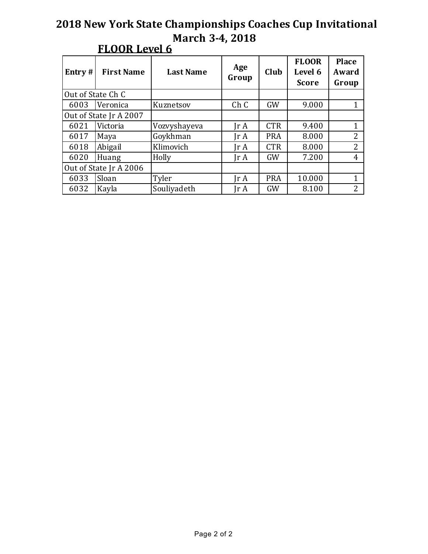| Entry $#$              | <b>First Name</b> | <b>Last Name</b> | Age<br>Group                 | Club       | <b>FLOOR</b><br>Level 6<br><b>Score</b> | <b>Place</b><br>Award<br>Group |
|------------------------|-------------------|------------------|------------------------------|------------|-----------------------------------------|--------------------------------|
| Out of State Ch C      |                   |                  |                              |            |                                         |                                |
| 6003                   | Veronica          | Kuznetsov        | Ch C                         | <b>GW</b>  | 9.000                                   | 1                              |
| Out of State Jr A 2007 |                   |                  |                              |            |                                         |                                |
| 6021                   | Victoria          | Vozvyshayeva     | Ir A                         | <b>CTR</b> | 9.400                                   | 1                              |
| 6017                   | Maya              | Goykhman         | Ir A                         | <b>PRA</b> | 8.000                                   | $\overline{2}$                 |
| 6018                   | Abigail           | Klimovich        | Ir A                         | <b>CTR</b> | 8.000                                   | $\overline{2}$                 |
| 6020                   | Huang             | Holly            | $\mathop{\rm Ir}\nolimits$ A | GW         | 7.200                                   | 4                              |
| Out of State Jr A 2006 |                   |                  |                              |            |                                         |                                |
| 6033                   | Sloan             | Tyler            | Jr A                         | <b>PRA</b> | 10.000                                  | 1                              |
| 6032                   | Kayla             | Souliyadeth      | Jr A                         | GW         | 8.100                                   | $\overline{2}$                 |

# **FLOOR Level 6**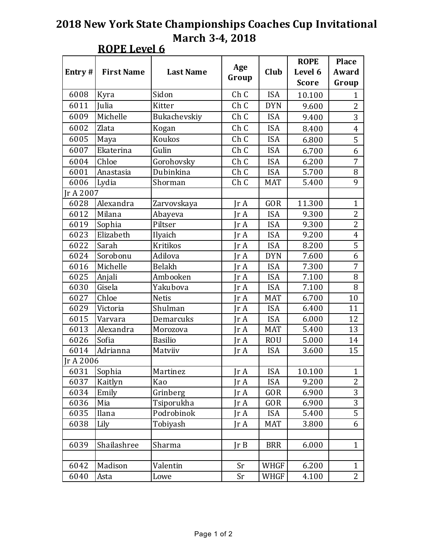**ROPE** Level 6

|           |                   |                  |               |            | <b>ROPE</b>  | <b>Place</b>   |
|-----------|-------------------|------------------|---------------|------------|--------------|----------------|
| Entry#    | <b>First Name</b> | <b>Last Name</b> | Age           | Club       | Level 6      | Award          |
|           |                   |                  | Group         |            | <b>Score</b> | Group          |
| 6008      | Kyra              | Sidon            | Ch C          | <b>ISA</b> | 10.100       | 1              |
| 6011      | Julia             | Kitter           | Ch C          | <b>DYN</b> | 9.600        | 2              |
| 6009      | Michelle          | Bukachevskiy     | Ch C          | <b>ISA</b> | 9.400        | 3              |
| 6002      | Zlata             | Kogan            | Ch C          | <b>ISA</b> | 8.400        | $\overline{4}$ |
| 6005      | Maya              | Koukos           | Ch C          | <b>ISA</b> | 6.800        | 5              |
| 6007      | Ekaterina         | Gulin            | Ch C          | <b>ISA</b> | 6.700        | 6              |
| 6004      | Chloe             | Gorohovsky       | Ch C          | <b>ISA</b> | 6.200        | 7              |
| 6001      | Anastasia         | Dubinkina        | Ch C          | <b>ISA</b> | 5.700        | 8              |
| 6006      | Lydia             | Shorman          | Ch C          | <b>MAT</b> | 5.400        | 9              |
| Jr A 2007 |                   |                  |               |            |              |                |
| 6028      | Alexandra         | Zarvovskaya      | Ir A          | <b>GOR</b> | 11.300       | $\mathbf{1}$   |
| 6012      | Milana            | Abayeva          | $\text{Tr }A$ | <b>ISA</b> | 9.300        | 2              |
| 6019      | Sophia            | Piltser          | Jr A          | <b>ISA</b> | 9.300        | $\overline{2}$ |
| 6023      | Elizabeth         | Ilyaich          | Jr A          | <b>ISA</b> | 9.200        | $\overline{4}$ |
| 6022      | Sarah             | <b>Kritikos</b>  | Jr A          | <b>ISA</b> | 8.200        | 5              |
| 6024      | Sorobonu          | Adilova          | $\text{Tr }A$ | <b>DYN</b> | 7.600        | 6              |
| 6016      | Michelle          | Belakh           | Jr A          | <b>ISA</b> | 7.300        | 7              |
| 6025      | Anjali            | Ambooken         | Jr A          | <b>ISA</b> | 7.100        | 8              |
| 6030      | Gisela            | Yakubova         | $\text{Tr }A$ | <b>ISA</b> | 7.100        | 8              |
| 6027      | Chloe             | <b>Netis</b>     | $\text{Tr }A$ | MAT        | 6.700        | 10             |
| 6029      | Victoria          | Shulman          | Jr A          | <b>ISA</b> | 6.400        | 11             |
| 6015      | Varvara           | Demarcuks        | Jr A          | <b>ISA</b> | 6.000        | 12             |
| 6013      | Alexandra         | Morozova         | $\text{Tr }A$ | <b>MAT</b> | 5.400        | 13             |
| 6026      | Sofia             | <b>Basilio</b>   | $\text{Tr }A$ | <b>ROU</b> | 5.000        | 14             |
| 6014      | Adrianna          | Matviiv          | $\text{Tr }A$ | <b>ISA</b> | 3.600        | 15             |
| Jr A 2006 |                   |                  |               |            |              |                |
| 6031      | Sophia            | Martinez         | Jr A          | ISA        | 10.100       | 1              |
| 6037      | Kaitlyn           | Kao              | Jr A          | <b>ISA</b> | 9.200        | $\overline{2}$ |
| 6034      | Emily             | Grinberg         | Jr A          | GOR        | 6.900        | 3              |
| 6036      | Mia               | Tsiporukha       | Jr A          | GOR        | 6.900        | 3              |
| 6035      | Ilana             | Podrobinok       | Jr A          | <b>ISA</b> | 5.400        | 5              |
| 6038      | Lily              | Tobiyash         | Jr A          | MAT        | 3.800        | 6              |
|           |                   |                  |               |            |              |                |
| 6039      | Shailashree       | Sharma           | JrB           | <b>BRR</b> | 6.000        | $\mathbf{1}$   |
|           |                   |                  |               |            |              |                |
| 6042      | Madison           | Valentin         | Sr            | WHGF       | 6.200        | $\mathbf{1}$   |
| 6040      | Asta              | Lowe             | Sr            | WHGF       | 4.100        | $\overline{2}$ |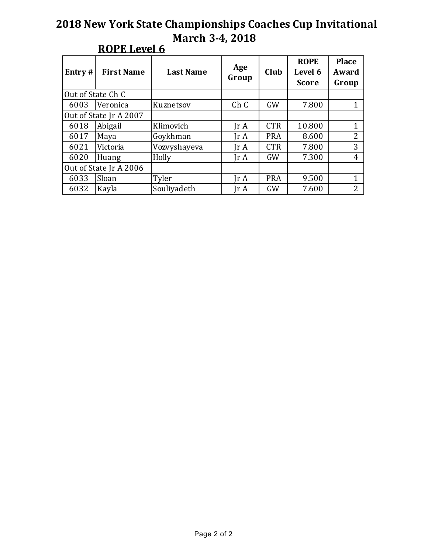| Entry $#$              | <b>First Name</b> | <b>Last Name</b> | Age<br>Group            | Club       | <b>ROPE</b><br>Level 6<br><b>Score</b> | <b>Place</b><br>Award<br>Group |
|------------------------|-------------------|------------------|-------------------------|------------|----------------------------------------|--------------------------------|
| Out of State Ch C      |                   |                  |                         |            |                                        |                                |
| 6003                   | Veronica          | Kuznetsov        | Ch C                    | <b>GW</b>  | 7.800                                  |                                |
| Out of State Jr A 2007 |                   |                  |                         |            |                                        |                                |
| 6018                   | Abigail           | Klimovich        | $\text{Tr } \mathbf{A}$ | <b>CTR</b> | 10.800                                 | 1                              |
| 6017                   | Maya              | Goykhman         | Jr A                    | <b>PRA</b> | 8.600                                  | $\overline{2}$                 |
| 6021                   | Victoria          | Vozvyshayeva     | Ir A                    | <b>CTR</b> | 7.800                                  | 3                              |
| 6020                   | Huang             | Holly            | Ir A                    | GW         | 7.300                                  | 4                              |
| Out of State Jr A 2006 |                   |                  |                         |            |                                        |                                |
| 6033                   | Sloan             | Tyler            | Ir A                    | <b>PRA</b> | 9.500                                  | 1                              |
| 6032                   | Kayla             | Souliyadeth      | Jr A                    | GW         | 7.600                                  | 2                              |

## **ROPE** Level 6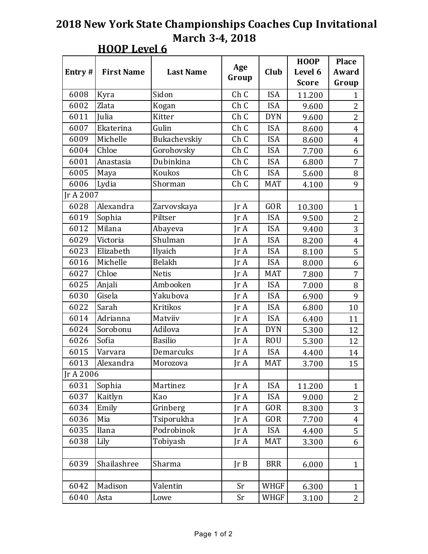|           |                   |                  |                         |             | <b>HOOP</b><br><b>Place</b><br>Level 6<br>Award |                |
|-----------|-------------------|------------------|-------------------------|-------------|-------------------------------------------------|----------------|
| Entry $#$ | <b>First Name</b> | <b>Last Name</b> | Age                     | Club        |                                                 |                |
|           |                   |                  | Group                   |             | <b>Score</b>                                    | Group          |
| 6008      | Kyra              | Sidon            | Ch <sub>C</sub>         | <b>ISA</b>  | 11.200                                          | 1              |
| 6002      | Zlata             | Kogan            | Ch C                    | <b>ISA</b>  | 9.600                                           | $\overline{2}$ |
| 6011      | Julia             | Kitter           | Ch C                    | <b>DYN</b>  | 9.600                                           | $\overline{2}$ |
| 6007      | Ekaterina         | Gulin            | Ch C                    | <b>ISA</b>  | 8.600                                           | $\overline{4}$ |
| 6009      | Michelle          | Bukachevskiy     | Ch C                    | <b>ISA</b>  | 8.600                                           | $\overline{4}$ |
| 6004      | Chloe             | Gorohovsky       | Ch C                    | <b>ISA</b>  | 7.700                                           | 6              |
| 6001      | Anastasia         | Dubinkina        | Ch C                    | <b>ISA</b>  | 6.800                                           | 7              |
| 6005      | Maya              | Koukos           | Ch C                    | <b>ISA</b>  | 5.600                                           | 8              |
| 6006      | Lydia             | Shorman          | Ch C                    | <b>MAT</b>  | 4.100                                           | 9              |
| Jr A 2007 |                   |                  |                         |             |                                                 |                |
| 6028      | Alexandra         | Zarvovskaya      | $\text{Tr } \mathbf{A}$ | <b>GOR</b>  | 10.300                                          | $\mathbf{1}$   |
| 6019      | Sophia            | Piltser          | JrA                     | <b>ISA</b>  | 9.500                                           | $\overline{2}$ |
| 6012      | Milana            | Abayeva          | $\text{Tr } \mathbf{A}$ | <b>ISA</b>  | 9.400                                           | 3              |
| 6029      | Victoria          | Shulman          | Ir A                    | <b>ISA</b>  | 8.200                                           | $\overline{4}$ |
| 6023      | Elizabeth         | Ilyaich          | JrA                     | <b>ISA</b>  | 8.100                                           | 5              |
| 6016      | Michelle          | Belakh           | $\text{Tr } \mathbf{A}$ | <b>ISA</b>  | 8.000                                           | 6              |
| 6027      | Chloe             | <b>Netis</b>     | $\text{Tr } \mathbf{A}$ | <b>MAT</b>  | 7.800                                           | 7              |
| 6025      | Anjali            | Ambooken         | $\text{Tr } \mathbf{A}$ | <b>ISA</b>  | 7.000                                           | 8              |
| 6030      | Gisela            | Yakubova         | $\text{Tr } \mathbf{A}$ | <b>ISA</b>  | 6.900                                           | 9              |
| 6022      | Sarah             | Kritikos         | $\text{Tr }A$           | <b>ISA</b>  | 6.800                                           | 10             |
| 6014      | Adrianna          | Matviiv          | JrA                     | <b>ISA</b>  | 6.400                                           | 11             |
| 6024      | Sorobonu          | Adilova          | $\text{Tr } \mathbf{A}$ | <b>DYN</b>  | 5.300                                           | 12             |
| 6026      | Sofia             | <b>Basilio</b>   | IrA                     | <b>ROU</b>  | 5.300                                           | 12             |
| 6015      | Varvara           | Demarcuks        | JrA                     | <b>ISA</b>  | 4.400                                           | 14             |
| 6013      | Alexandra         | Morozova         | JrA                     | <b>MAT</b>  | 3.700                                           | 15             |
| Jr A 2006 |                   |                  |                         |             |                                                 |                |
| 6031      | Sophia            | Martinez         | Jr A                    | <b>ISA</b>  | 11.200                                          | $\mathbf{1}$   |
| 6037      | Kaitlyn           | Kao              | JrA                     | <b>ISA</b>  | 9.000                                           | $\overline{2}$ |
| 6034      | Emily             | Grinberg         | JrA                     | GOR         | 8.300                                           | 3              |
| 6036      | Mia               | Tsiporukha       | IrA                     | GOR         | 7.700                                           | $\overline{4}$ |
| 6035      | Ilana             | Podrobinok       | JrA                     | <b>ISA</b>  | 4.400                                           | 5              |
| 6038      | Lily              | Tobiyash         | JrA                     | <b>MAT</b>  | 3.300                                           | 6              |
|           |                   |                  |                         |             |                                                 |                |
| 6039      | Shailashree       | Sharma           | JrB                     | <b>BRR</b>  | 6.000                                           | $\mathbf{1}$   |
|           |                   |                  |                         |             |                                                 |                |
| 6042      | Madison           | Valentin         | Sr                      | <b>WHGF</b> | 6.300                                           | $\mathbf{1}$   |
| 6040      | Asta              | Lowe             | Sr                      | <b>WHGF</b> | 3.100                                           | 2              |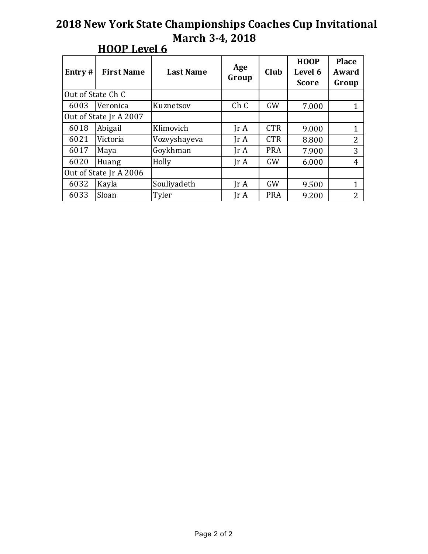| Entry $#$              | <b>First Name</b> | <b>Last Name</b>                   | Age<br>Group                 | Club       | <b>HOOP</b><br>Level 6<br><b>Score</b> | <b>Place</b><br>Award<br>Group |
|------------------------|-------------------|------------------------------------|------------------------------|------------|----------------------------------------|--------------------------------|
| Out of State Ch C      |                   |                                    |                              |            |                                        |                                |
| 6003                   | Veronica          | Ch <sub>C</sub><br>GW<br>Kuznetsov |                              | 7.000      | 1                                      |                                |
| Out of State Jr A 2007 |                   |                                    |                              |            |                                        |                                |
| 6018                   | Abigail           | Klimovich                          | $\text{Ir } A$               | <b>CTR</b> | 9.000                                  | 1                              |
| 6021                   | Victoria          | Vozvyshayeva                       | $\mathop{\rm Ir}\nolimits$ A | <b>CTR</b> | 8.800                                  | 2                              |
| 6017                   | Maya              | Goykhman                           | $\text{Ir } A$               | <b>PRA</b> | 7.900                                  | 3                              |
| 6020                   | Huang             | Holly                              | $\text{Tr } \mathbf{A}$      | GW         | 6.000                                  | 4                              |
| Out of State Jr A 2006 |                   |                                    |                              |            |                                        |                                |
| 6032                   | Kayla             | Souliyadeth                        | Ir A                         | GW         | 9.500                                  | 1                              |
| 6033                   | Sloan             | Tyler                              | Jr A                         | <b>PRA</b> | 9.200                                  | $\overline{2}$                 |

## **HOOP** Level 6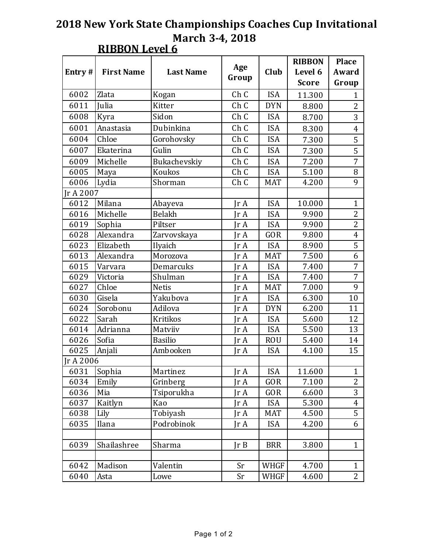| Entry#    | <b>First Name</b> | <b>Last Name</b> | Age   | Club        | <b>RIBBON</b><br>Level 6 | <b>Place</b><br>Award |
|-----------|-------------------|------------------|-------|-------------|--------------------------|-----------------------|
|           |                   |                  | Group |             | <b>Score</b>             | Group                 |
| 6002      | Zlata             | Kogan            | Ch C  | <b>ISA</b>  | 11.300                   | $\mathbf{1}$          |
| 6011      | Julia             | Kitter           | Ch C  | <b>DYN</b>  | 8.800                    | $\overline{2}$        |
| 6008      | Kyra              | Sidon            | Ch C  | <b>ISA</b>  | 8.700                    | 3                     |
| 6001      | Anastasia         | Dubinkina        | Ch C  | <b>ISA</b>  | 8.300                    | $\overline{4}$        |
| 6004      | Chloe             | Gorohovsky       | Ch C  | <b>ISA</b>  | 7.300                    | 5                     |
| 6007      | Ekaterina         | Gulin            | Ch C  | <b>ISA</b>  | 7.300                    | 5                     |
| 6009      | Michelle          | Bukachevskiy     | Ch C  | <b>ISA</b>  | 7.200                    | $\overline{7}$        |
| 6005      | Maya              | Koukos           | Ch C  | <b>ISA</b>  | 5.100                    | $\, 8$                |
| 6006      | Lydia             | Shorman          | Ch C  | <b>MAT</b>  | 4.200                    | 9                     |
| Ir A 2007 |                   |                  |       |             |                          |                       |
| 6012      | Milana            | Abayeva          | Jr A  | <b>ISA</b>  | 10.000                   | $\mathbf{1}$          |
| 6016      | Michelle          | Belakh           | Jr A  | <b>ISA</b>  | 9.900                    | $\overline{c}$        |
| 6019      | Sophia            | Piltser          | Jr A  | <b>ISA</b>  | 9.900                    | 2                     |
| 6028      | Alexandra         | Zarvovskaya      | Jr A  | GOR         | 9.800                    | $\overline{4}$        |
| 6023      | Elizabeth         | Ilyaich          | Jr A  | <b>ISA</b>  | 8.900                    | $\overline{5}$        |
| 6013      | Alexandra         | Morozova         | Jr A  | <b>MAT</b>  | 7.500                    | $\boldsymbol{6}$      |
| 6015      | Varvara           | Demarcuks        | Jr A  | <b>ISA</b>  | 7.400                    | 7                     |
| 6029      | Victoria          | Shulman          | Jr A  | <b>ISA</b>  | 7.400                    | $\overline{7}$        |
| 6027      | Chloe             | <b>Netis</b>     | Jr A  | <b>MAT</b>  | 7.000                    | 9                     |
| 6030      | Gisela            | Yakubova         | Jr A  | <b>ISA</b>  | 6.300                    | 10                    |
| 6024      | Sorobonu          | Adilova          | Jr A  | <b>DYN</b>  | 6.200                    | 11                    |
| 6022      | Sarah             | <b>Kritikos</b>  | Jr A  | <b>ISA</b>  | 5.600                    | 12                    |
| 6014      | Adrianna          | Matviiv          | Jr A  | <b>ISA</b>  | 5.500                    | 13                    |
| 6026      | Sofia             | <b>Basilio</b>   | Jr A  | <b>ROU</b>  | 5.400                    | 14                    |
| 6025      | Anjali            | Ambooken         | Jr A  | <b>ISA</b>  | 4.100                    | 15                    |
| Jr A 2006 |                   |                  |       |             |                          |                       |
| 6031      | Sophia            | Martinez         | Jr A  | <b>ISA</b>  | 11.600                   | $\mathbf{1}$          |
| 6034      | Emily             | Grinberg         | Jr A  | GOR         | 7.100                    | $\overline{c}$        |
| 6036      | Mia               | Tsiporukha       | Jr A  | GOR         | 6.600                    | 3                     |
| 6037      | Kaitlyn           | Kao              | Jr A  | <b>ISA</b>  | 5.300                    | $\overline{4}$        |
| 6038      | Lily              | Tobiyash         | Jr A  | <b>MAT</b>  | 4.500                    | 5                     |
| 6035      | Ilana             | Podrobinok       | Jr A  | <b>ISA</b>  | 4.200                    | 6                     |
|           |                   |                  |       |             |                          |                       |
| 6039      | Shailashree       | Sharma           | Ir B  | <b>BRR</b>  | 3.800                    | $\mathbf{1}$          |
|           |                   |                  |       |             |                          |                       |
| 6042      | Madison           | Valentin         | Sr    | WHGF        | 4.700                    | $\mathbf{1}$          |
| 6040      | Asta              | Lowe             | Sr    | <b>WHGF</b> | 4.600                    | $\overline{2}$        |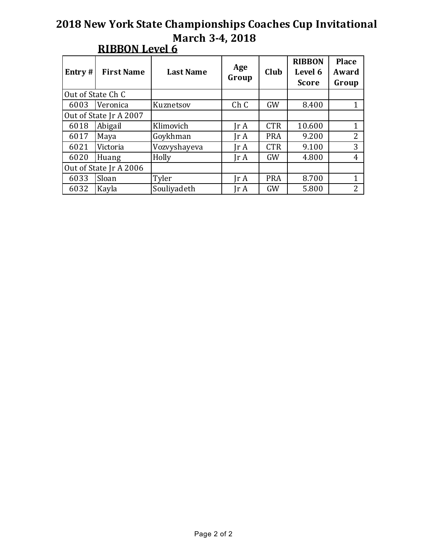| Entry $#$              | <b>First Name</b> | <b>Last Name</b> | Age<br>Group            | Club       | <b>RIBBON</b><br>Level 6<br><b>Score</b> | <b>Place</b><br>Award<br>Group |
|------------------------|-------------------|------------------|-------------------------|------------|------------------------------------------|--------------------------------|
| Out of State Ch C      |                   |                  |                         |            |                                          |                                |
| 6003                   | Veronica          | Kuznetsov        | Ch C                    | <b>GW</b>  | 8.400                                    | 1                              |
| Out of State Jr A 2007 |                   |                  |                         |            |                                          |                                |
| 6018                   | Abigail           | Klimovich        | $\text{Ir } A$          | <b>CTR</b> | 10.600                                   | 1                              |
| 6017                   | Maya              | Goykhman         | Jr A                    | <b>PRA</b> | 9.200                                    | $\overline{2}$                 |
| 6021                   | Victoria          | Vozvyshayeva     | $\text{Tr } \mathbf{A}$ | <b>CTR</b> | 9.100                                    | 3                              |
| 6020                   | Huang             | Holly            | $\text{Tr } \mathbf{A}$ | GW         | 4.800                                    | 4                              |
| Out of State Jr A 2006 |                   |                  |                         |            |                                          |                                |
| 6033                   | Sloan             | Tyler            | $\text{Ir } A$          | <b>PRA</b> | 8.700                                    | 1                              |
| 6032                   | Kayla             | Souliyadeth      | Jr A                    | GW         | 5.800                                    | $\overline{2}$                 |

### **RIBBON Level 6**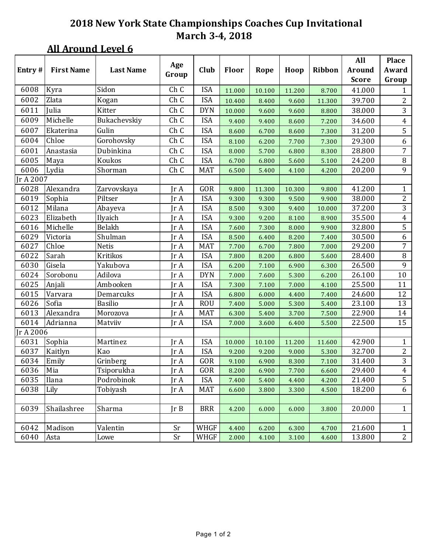#### **All Around Level 6**

|           |                   |                  |              |            |        |        |        |        | All           | <b>Place</b>   |
|-----------|-------------------|------------------|--------------|------------|--------|--------|--------|--------|---------------|----------------|
| Entry#    | <b>First Name</b> | <b>Last Name</b> | Age<br>Group | Club       | Floor  | Rope   | Hoop   | Ribbon | <b>Around</b> | Award          |
|           |                   |                  |              |            |        |        |        |        | <b>Score</b>  | Group          |
| 6008      | Kyra              | Sidon            | Ch C         | <b>ISA</b> | 11.000 | 10.100 | 11.200 | 8.700  | 41.000        | 1              |
| 6002      | Zlata             | Kogan            | Ch C         | <b>ISA</b> | 10.400 | 8.400  | 9.600  | 11.300 | 39.700        | $\overline{2}$ |
| 6011      | Julia             | Kitter           | Ch C         | <b>DYN</b> | 10.000 | 9.600  | 9.600  | 8.800  | 38.000        | 3              |
| 6009      | Michelle          | Bukachevskiy     | Ch C         | <b>ISA</b> | 9.400  | 9.400  | 8.600  | 7.200  | 34.600        | $\overline{4}$ |
| 6007      | Ekaterina         | Gulin            | Ch C         | <b>ISA</b> | 8.600  | 6.700  | 8.600  | 7.300  | 31.200        | 5              |
| 6004      | Chloe             | Gorohovsky       | Ch C         | <b>ISA</b> | 8.100  | 6.200  | 7.700  | 7.300  | 29.300        | 6              |
| 6001      | Anastasia         | Dubinkina        | Ch C         | <b>ISA</b> | 8.000  | 5.700  | 6.800  | 8.300  | 28.800        | $\overline{7}$ |
| 6005      | Maya              | Koukos           | Ch C         | <b>ISA</b> | 6.700  | 6.800  | 5.600  | 5.100  | 24.200        | $\, 8$         |
| 6006      | Lydia             | Shorman          | Ch C         | <b>MAT</b> | 6.500  | 5.400  | 4.100  | 4.200  | 20.200        | 9              |
| Ir A 2007 |                   |                  |              |            |        |        |        |        |               |                |
| 6028      | Alexandra         | Zarvovskaya      | Jr A         | GOR        | 9.800  | 11.300 | 10.300 | 9.800  | 41.200        | $\mathbf{1}$   |
| 6019      | Sophia            | Piltser          | Jr A         | <b>ISA</b> | 9.300  | 9.300  | 9.500  | 9.900  | 38.000        | $\overline{c}$ |
| 6012      | Milana            | Abayeva          | Jr A         | <b>ISA</b> | 8.500  | 9.300  | 9.400  | 10.000 | 37.200        | $\overline{3}$ |
| 6023      | Elizabeth         | Ilyaich          | Jr A         | <b>ISA</b> | 9.300  | 9.200  | 8.100  | 8.900  | 35.500        | $\overline{4}$ |
| 6016      | Michelle          | Belakh           | Jr A         | <b>ISA</b> | 7.600  | 7.300  | 8.000  | 9.900  | 32.800        | 5              |
| 6029      | Victoria          | Shulman          | Jr A         | <b>ISA</b> | 8.500  | 6.400  | 8.200  | 7.400  | 30.500        | 6              |
| 6027      | Chloe             | <b>Netis</b>     | Jr A         | <b>MAT</b> | 7.700  | 6.700  | 7.800  | 7.000  | 29.200        | $\overline{7}$ |
| 6022      | Sarah             | Kritikos         | Jr A         | <b>ISA</b> | 7.800  | 8.200  | 6.800  | 5.600  | 28.400        | $\, 8$         |
| 6030      | Gisela            | Yakubova         | Jr A         | <b>ISA</b> | 6.200  | 7.100  | 6.900  | 6.300  | 26.500        | 9              |
| 6024      | Sorobonu          | Adilova          | Jr A         | <b>DYN</b> | 7.000  | 7.600  | 5.300  | 6.200  | 26.100        | 10             |
| 6025      | Anjali            | Ambooken         | Jr A         | <b>ISA</b> | 7.300  | 7.100  | 7.000  | 4.100  | 25.500        | 11             |
| 6015      | Varvara           | Demarcuks        | Jr A         | <b>ISA</b> | 6.800  | 6.000  | 4.400  | 7.400  | 24.600        | 12             |
| 6026      | Sofia             | <b>Basilio</b>   | Jr A         | <b>ROU</b> | 7.400  | 5.000  | 5.300  | 5.400  | 23.100        | 13             |
| 6013      | Alexandra         | Morozova         | Jr A         | <b>MAT</b> | 6.300  | 5.400  | 3.700  | 7.500  | 22.900        | 14             |
| 6014      | Adrianna          | Matviiv          | Jr A         | <b>ISA</b> | 7.000  | 3.600  | 6.400  | 5.500  | 22.500        | 15             |
| Jr A 2006 |                   |                  |              |            |        |        |        |        |               |                |
| 6031      | Sophia            | Martinez         | Jr A         | <b>ISA</b> | 10.000 | 10.100 | 11.200 | 11.600 | 42.900        | $\mathbf{1}$   |
| 6037      | Kaitlyn           | Kao              | Jr A         | <b>ISA</b> | 9.200  | 9.200  | 9.000  | 5.300  | 32.700        | $\overline{c}$ |
| 6034      | Emily             | Grinberg         | Jr A         | GOR        | 9.100  | 6.900  | 8.300  | 7.100  | 31.400        | 3              |
| 6036      | Mia               | Tsiporukha       | Jr A         | GOR        | 8.200  | 6.900  | 7.700  | 6.600  | 29.400        | $\overline{4}$ |
| 6035      | Ilana             | Podrobinok       | Jr A         | <b>ISA</b> | 7.400  | 5.400  | 4.400  | 4.200  | 21.400        | 5              |
| 6038      | Lily              | Tobiyash         | Jr A         | <b>MAT</b> | 6.600  | 3.800  | 3.300  | 4.500  | 18.200        | 6              |
|           |                   |                  |              |            |        |        |        |        |               |                |
| 6039      | Shailashree       | Sharma           | Ir B         | <b>BRR</b> | 4.200  | 6.000  | 6.000  | 3.800  | 20.000        | $\mathbf{1}$   |
|           |                   |                  |              |            |        |        |        |        |               |                |
| 6042      | Madison           | Valentin         | Sr           | WHGF       | 4.400  | 6.200  | 6.300  | 4.700  | 21.600        | $\mathbf{1}$   |
| 6040      | Asta              | Lowe             | Sr           | WHGF       | 2.000  | 4.100  | 3.100  | 4.600  | 13.800        | $\overline{2}$ |